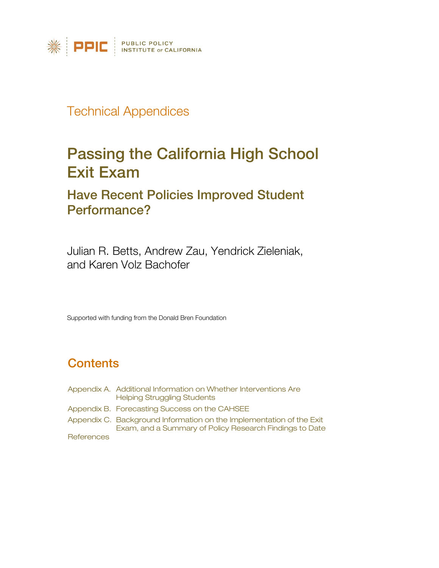

## Technical Appendices

# [Passing the California High School](http://www.ppic.org/main/publication.asp?i=1018)  [Exit Exam](http://www.ppic.org/main/publication.asp?i=1018)

## [Have Recent Policies Improved Student](http://www.ppic.org/main/publication.asp?i=1018)  [Performance?](http://www.ppic.org/main/publication.asp?i=1018)

Julian R. Betts, Andrew Zau, Yendrick Zieleniak, and Karen Volz Bachofer

Supported with funding from the Donald Bren Foundation

## **Contents**

Appendix A. Additional [Information on Whether Interventions Are](#page-1-0)  Helping Struggling Students Appendix B. [Forecasting Success on the CAHSEE](#page-21-0) Appendix C. Background Information on the Implementation of the Exit [Exam, and a Summary of Policy Research Findings to Date](#page-29-0) **[References](#page-35-0)**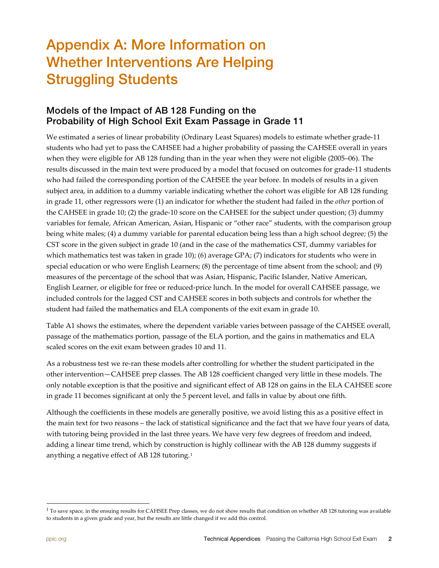# <span id="page-1-0"></span>Appendix A: More Information on Whether Interventions Are Helping Struggling Students

### Models of the Impact of AB 128 Funding on the Probability of High School Exit Exam Passage in Grade 11

We estimated a series of linear probability (Ordinary Least Squares) models to estimate whether grade-11 students who had yet to pass the CAHSEE had a higher probability of passing the CAHSEE overall in years when they were eligible for AB 128 funding than in the year when they were not eligible (2005–06). The results discussed in the main text were produced by a model that focused on outcomes for grade-11 students who had failed the corresponding portion of the CAHSEE the year before. In models of results in a given subject area, in addition to a dummy variable indicating whether the cohort was eligible for AB 128 funding in grade 11, other regressors were (1) an indicator for whether the student had failed in the *other* portion of the CAHSEE in grade 10; (2) the grade-10 score on the CAHSEE for the subject under question; (3) dummy variables for female, African American, Asian, Hispanic or "other race" students, with the comparison group being white males; (4) a dummy variable for parental education being less than a high school degree; (5) the CST score in the given subject in grade 10 (and in the case of the mathematics CST, dummy variables for which mathematics test was taken in grade 10); (6) average GPA; (7) indicators for students who were in special education or who were English Learners; (8) the percentage of time absent from the school; and (9) measures of the percentage of the school that was Asian, Hispanic, Pacific Islander, Native American, English Learner, or eligible for free or reduced-price lunch. In the model for overall CAHSEE passage, we included controls for the lagged CST and CAHSEE scores in both subjects and controls for whether the student had failed the mathematics and ELA components of the exit exam in grade 10.

Table A1 shows the estimates, where the dependent variable varies between passage of the CAHSEE overall, passage of the mathematics portion, passage of the ELA portion, and the gains in mathematics and ELA scaled scores on the exit exam between grades 10 and 11.

As a robustness test we re-ran these models after controlling for whether the student participated in the other intervention—CAHSEE prep classes. The AB 128 coefficient changed very little in these models. The only notable exception is that the positive and significant effect of AB 128 on gains in the ELA CAHSEE score in grade 11 becomes significant at only the 5 percent level, and falls in value by about one fifth.

Although the coefficients in these models are generally positive, we avoid listing this as a positive effect in the main text for two reasons – the lack of statistical significance and the fact that we have four years of data, with tutoring being provided in the last three years. We have very few degrees of freedom and indeed, adding a linear time trend, which by construction is highly collinear with the AB 128 dummy suggests if anything a negative effect of AB 128 tutoring.[1](#page-1-1) 

<span id="page-1-1"></span> $1$  To save space, in the ensuing results for CAHSEE Prep classes, we do not show results that condition on whether AB 128 tutoring was available to students in a given grade and year, but the results are little changed if we add this control.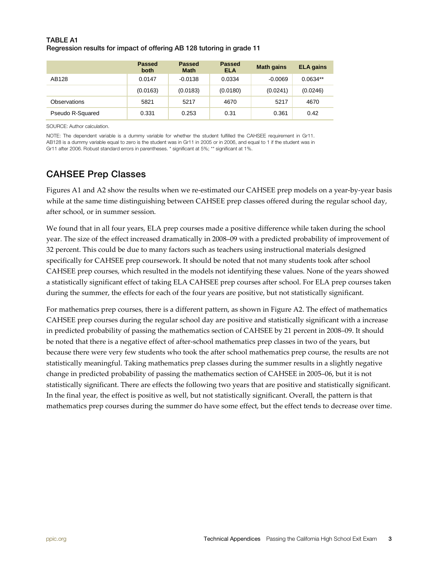#### TABLE A1 Regression results for impact of offering AB 128 tutoring in grade 11

|                  | <b>Passed</b><br>both | <b>Passed</b><br><b>Math</b> | Passed<br><b>ELA</b> | <b>Math gains</b> | <b>ELA</b> gains |
|------------------|-----------------------|------------------------------|----------------------|-------------------|------------------|
| AB128            | 0.0147                | $-0.0138$                    | 0.0334               | $-0.0069$         | $0.0634**$       |
|                  | (0.0163)              | (0.0183)                     | (0.0180)             | (0.0241)          | (0.0246)         |
| Observations     | 5821                  | 5217                         | 4670                 | 5217              | 4670             |
| Pseudo R-Squared | 0.331                 | 0.253                        | 0.31                 | 0.361             | 0.42             |

SOURCE: Author calculation.

NOTE: The dependent variable is a dummy variable for whether the student fulfilled the CAHSEE requirement in Gr11. AB128 is a dummy variable equal to zero is the student was in Gr11 in 2005 or in 2006, and equal to 1 if the student was in Gr11 after 2006. Robust standard errors in parentheses. \* significant at 5%; \*\* significant at 1%.

## CAHSEE Prep Classes

Figures A1 and A2 show the results when we re-estimated our CAHSEE prep models on a year-by-year basis while at the same time distinguishing between CAHSEE prep classes offered during the regular school day, after school, or in summer session.

We found that in all four years, ELA prep courses made a positive difference while taken during the school year. The size of the effect increased dramatically in 2008–09 with a predicted probability of improvement of 32 percent. This could be due to many factors such as teachers using instructional materials designed specifically for CAHSEE prep coursework. It should be noted that not many students took after school CAHSEE prep courses, which resulted in the models not identifying these values. None of the years showed a statistically significant effect of taking ELA CAHSEE prep courses after school. For ELA prep courses taken during the summer, the effects for each of the four years are positive, but not statistically significant.

For mathematics prep courses, there is a different pattern, as shown in Figure A2. The effect of mathematics CAHSEE prep courses during the regular school day are positive and statistically significant with a increase in predicted probability of passing the mathematics section of CAHSEE by 21 percent in 2008–09. It should be noted that there is a negative effect of after-school mathematics prep classes in two of the years, but because there were very few students who took the after school mathematics prep course, the results are not statistically meaningful. Taking mathematics prep classes during the summer results in a slightly negative change in predicted probability of passing the mathematics section of CAHSEE in 2005–06, but it is not statistically significant. There are effects the following two years that are positive and statistically significant. In the final year, the effect is positive as well, but not statistically significant. Overall, the pattern is that mathematics prep courses during the summer do have some effect, but the effect tends to decrease over time.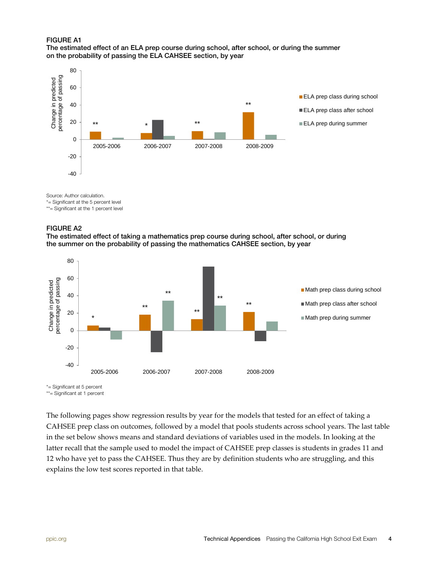#### FIGURE A1

#### The estimated effect of an ELA prep course during school, after school, or during the summer on the probability of passing the ELA CAHSEE section, by year



Source: Author calculation.

\*= Significant at the 5 percent level

\*\*= Significant at the 1 percent level

#### FIGURE A2

The estimated effect of taking a mathematics prep course during school, after school, or during the summer on the probability of passing the mathematics CAHSEE section, by year



\*= Significant at 5 percent

\*\*= Significant at 1 percent

The following pages show regression results by year for the models that tested for an effect of taking a CAHSEE prep class on outcomes, followed by a model that pools students across school years. The last table in the set below shows means and standard deviations of variables used in the models. In looking at the latter recall that the sample used to model the impact of CAHSEE prep classes is students in grades 11 and 12 who have yet to pass the CAHSEE. Thus they are by definition students who are struggling, and this explains the low test scores reported in that table.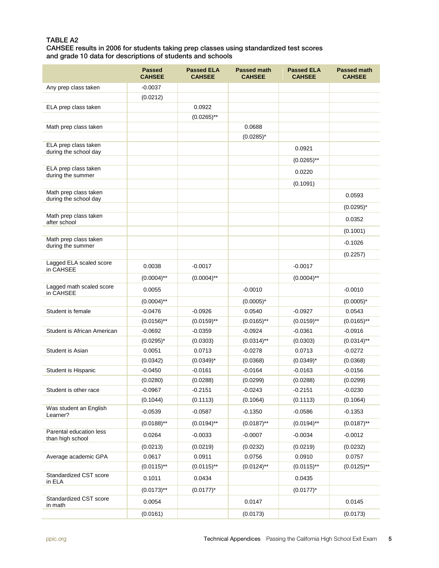#### TABLE A2

CAHSEE results in 2006 for students taking prep classes using standardized test scores and grade 10 data for descriptions of students and schools

|                                               | <b>Passed</b><br><b>CAHSEE</b> | <b>Passed ELA</b><br><b>CAHSEE</b> | <b>Passed math</b><br><b>CAHSEE</b> | <b>Passed ELA</b><br><b>CAHSEE</b> | <b>Passed math</b><br><b>CAHSEE</b> |
|-----------------------------------------------|--------------------------------|------------------------------------|-------------------------------------|------------------------------------|-------------------------------------|
| Any prep class taken                          | $-0.0037$                      |                                    |                                     |                                    |                                     |
|                                               | (0.0212)                       |                                    |                                     |                                    |                                     |
| ELA prep class taken                          |                                | 0.0922                             |                                     |                                    |                                     |
|                                               |                                | $(0.0265)$ **                      |                                     |                                    |                                     |
| Math prep class taken                         |                                |                                    | 0.0688                              |                                    |                                     |
|                                               |                                |                                    | $(0.0285)^*$                        |                                    |                                     |
| ELA prep class taken<br>during the school day |                                |                                    |                                     | 0.0921                             |                                     |
|                                               |                                |                                    |                                     | $(0.0265)$ <sup>**</sup>           |                                     |
| ELA prep class taken                          |                                |                                    |                                     | 0.0220                             |                                     |
| during the summer                             |                                |                                    |                                     |                                    |                                     |
| Math prep class taken                         |                                |                                    |                                     | (0.1091)                           |                                     |
| during the school day                         |                                |                                    |                                     |                                    | 0.0593                              |
|                                               |                                |                                    |                                     |                                    | $(0.0295)^*$                        |
| Math prep class taken<br>after school         |                                |                                    |                                     |                                    | 0.0352                              |
|                                               |                                |                                    |                                     |                                    | (0.1001)                            |
| Math prep class taken                         |                                |                                    |                                     |                                    | $-0.1026$                           |
| during the summer                             |                                |                                    |                                     |                                    | (0.2257)                            |
| Lagged ELA scaled score                       | 0.0038                         | $-0.0017$                          |                                     | $-0.0017$                          |                                     |
| in CAHSEE                                     |                                |                                    |                                     |                                    |                                     |
|                                               | $(0.0004)$ **                  | $(0.0004)$ **                      |                                     | $(0.0004)$ **                      |                                     |
| Lagged math scaled score<br>in CAHSEE         | 0.0055                         |                                    | $-0.0010$                           |                                    | $-0.0010$                           |
|                                               | $(0.0004)$ **                  |                                    | $(0.0005)^*$                        |                                    | $(0.0005)^*$                        |
| Student is female                             | $-0.0476$                      | $-0.0926$                          | 0.0540                              | $-0.0927$                          | 0.0543                              |
|                                               | $(0.0156)$ **                  | $(0.0159)$ **                      | $(0.0165)$ **                       | $(0.0159)$ **                      | $(0.0165)$ **                       |
| Student is African American                   | $-0.0692$                      | -0.0359                            | $-0.0924$                           | $-0.0361$                          | $-0.0916$                           |
|                                               | $(0.0295)^{*}$                 | (0.0303)                           | $(0.0314)$ **                       | (0.0303)                           | $(0.0314)$ **                       |
| Student is Asian                              | 0.0051                         | 0.0713                             | $-0.0278$                           | 0.0713                             | $-0.0272$                           |
|                                               | (0.0342)                       | $(0.0349)^{*}$                     | (0.0368)                            | $(0.0349)^*$                       | (0.0368)                            |
| Student is Hispanic                           | $-0.0450$                      | $-0.0161$                          | $-0.0164$                           | $-0.0163$                          | $-0.0156$                           |
|                                               | (0.0280)                       | (0.0288)                           | (0.0299)                            | (0.0288)                           | (0.0299)                            |
| Student is other race                         | $-0.0967$                      | $-0.2151$                          | $-0.0243$                           | $-0.2151$                          | $-0.0230$                           |
|                                               | (0.1044)                       | (0.1113)                           | (0.1064)                            | (0.1113)                           | (0.1064)                            |
| Was student an English<br>Learner?            | $-0.0539$                      | $-0.0587$                          | $-0.1350$                           | $-0.0586$                          | $-0.1353$                           |
|                                               | $(0.0188)$ **                  | $(0.0194)$ **                      | $(0.0187)$ **                       | $(0.0194)$ **                      | $(0.0187)$ **                       |
| Parental education less<br>than high school   | 0.0264                         | $-0.0033$                          | $-0.0007$                           | $-0.0034$                          | $-0.0012$                           |
|                                               | (0.0213)                       | (0.0219)                           | (0.0232)                            | (0.0219)                           | (0.0232)                            |
| Average academic GPA                          | 0.0617                         | 0.0911                             | 0.0756                              | 0.0910                             | 0.0757                              |
|                                               | $(0.0115)$ **                  | $(0.0115)$ **                      | $(0.0124)$ **                       | $(0.0115)$ **                      | $(0.0125)$ **                       |
| Standardized CST score<br>in ELA              | 0.1011                         | 0.0434                             |                                     | 0.0435                             |                                     |
|                                               | $(0.0173)$ **                  | $(0.0177)^*$                       |                                     | $(0.0177)^*$                       |                                     |
| Standardized CST score<br>in math             | 0.0054                         |                                    | 0.0147                              |                                    | 0.0145                              |
|                                               | (0.0161)                       |                                    | (0.0173)                            |                                    | (0.0173)                            |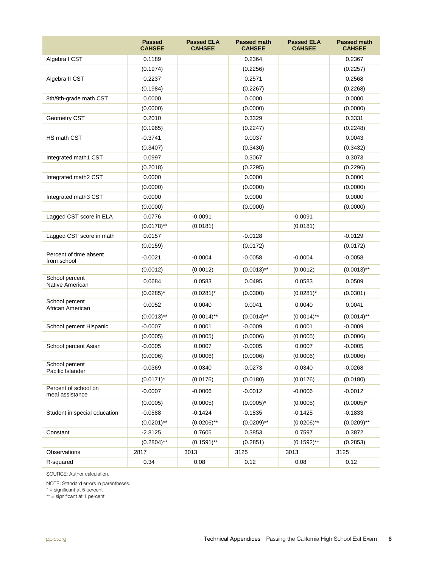|                                         | <b>Passed</b><br><b>CAHSEE</b> | <b>Passed ELA</b><br><b>CAHSEE</b> | <b>Passed math</b><br><b>CAHSEE</b> | <b>Passed ELA</b><br><b>CAHSEE</b> | <b>Passed math</b><br><b>CAHSEE</b> |
|-----------------------------------------|--------------------------------|------------------------------------|-------------------------------------|------------------------------------|-------------------------------------|
| Algebra I CST                           | 0.1189                         |                                    | 0.2364                              |                                    | 0.2367                              |
|                                         | (0.1974)                       |                                    | (0.2256)                            |                                    | (0.2257)                            |
| Algebra II CST                          | 0.2237                         |                                    | 0.2571                              |                                    | 0.2568                              |
|                                         | (0.1984)                       |                                    | (0.2267)                            |                                    | (0.2268)                            |
| 8th/9th-grade math CST                  | 0.0000                         |                                    | 0.0000                              |                                    | 0.0000                              |
|                                         | (0.0000)                       |                                    | (0.0000)                            |                                    | (0.0000)                            |
| Geometry CST                            | 0.2010                         |                                    | 0.3329                              |                                    | 0.3331                              |
|                                         | (0.1965)                       |                                    | (0.2247)                            |                                    | (0.2248)                            |
| <b>HS math CST</b>                      | $-0.3741$                      |                                    | 0.0037                              |                                    | 0.0043                              |
|                                         | (0.3407)                       |                                    | (0.3430)                            |                                    | (0.3432)                            |
| Integrated math1 CST                    | 0.0997                         |                                    | 0.3067                              |                                    | 0.3073                              |
|                                         | (0.2018)                       |                                    | (0.2295)                            |                                    | (0.2296)                            |
| Integrated math2 CST                    | 0.0000                         |                                    | 0.0000                              |                                    | 0.0000                              |
|                                         | (0.0000)                       |                                    | (0.0000)                            |                                    | (0.0000)                            |
| Integrated math3 CST                    | 0.0000                         |                                    | 0.0000                              |                                    | 0.0000                              |
|                                         | (0.0000)                       |                                    | (0.0000)                            |                                    | (0.0000)                            |
| Lagged CST score in ELA                 | 0.0776                         | $-0.0091$                          |                                     | $-0.0091$                          |                                     |
|                                         | $(0.0178)$ <sup>**</sup>       | (0.0181)                           |                                     | (0.0181)                           |                                     |
| Lagged CST score in math                | 0.0157                         |                                    | $-0.0128$                           |                                    | $-0.0129$                           |
|                                         | (0.0159)                       |                                    | (0.0172)                            |                                    | (0.0172)                            |
| Percent of time absent<br>from school   | $-0.0021$                      | $-0.0004$                          | $-0.0058$                           | $-0.0004$                          | $-0.0058$                           |
|                                         | (0.0012)                       | (0.0012)                           | $(0.0013)$ **                       | (0.0012)                           | $(0.0013)$ <sup>**</sup>            |
| School percent<br>Native American       | 0.0684                         | 0.0583                             | 0.0495                              | 0.0583                             | 0.0509                              |
|                                         | $(0.0285)^*$                   | $(0.0281)^*$                       | (0.0300)                            | $(0.0281)^*$                       | (0.0301)                            |
| School percent<br>African American      | 0.0052                         | 0.0040                             | 0.0041                              | 0.0040                             | 0.0041                              |
|                                         | $(0.0013)$ **                  | $(0.0014)$ **                      | $(0.0014)$ **                       | $(0.0014)$ **                      | $(0.0014)$ **                       |
| School percent Hispanic                 | $-0.0007$                      | 0.0001                             | $-0.0009$                           | 0.0001                             | $-0.0009$                           |
|                                         | (0.0005)                       | (0.0005)                           | (0.0006)                            | (0.0005)                           | (0.0006)                            |
| School percent Asian                    | $-0.0005$                      | 0.0007                             | $-0.0005$                           | 0.0007                             | $-0.0005$                           |
|                                         | (0.0006)                       | (0.0006)                           | (0.0006)                            | (0.0006)                           | (0.0006)                            |
| School percent<br>Pacific Islander      | $-0.0369$                      | $-0.0340$                          | $-0.0273$                           | $-0.0340$                          | $-0.0268$                           |
|                                         | $(0.0171)^*$                   | (0.0176)                           | (0.0180)                            | (0.0176)                           | (0.0180)                            |
| Percent of school on<br>meal assistance | $-0.0007$                      | $-0.0006$                          | $-0.0012$                           | $-0.0006$                          | $-0.0012$                           |
|                                         | (0.0005)                       | (0.0005)                           | $(0.0005)^*$                        | (0.0005)                           | $(0.0005)^*$                        |
| Student in special education            | $-0.0588$                      | $-0.1424$                          | $-0.1835$                           | $-0.1425$                          | $-0.1833$                           |
|                                         | $(0.0201)$ **                  | $(0.0206)$ **                      | $(0.0209)$ **                       | $(0.0206)$ **                      | $(0.0209)$ **                       |
| Constant                                | $-2.8125$                      | 0.7605                             | 0.3853                              | 0.7597                             | 0.3872                              |
|                                         | $(0.2804)$ **                  | $(0.1591)$ **                      | (0.2851)                            | $(0.1592)$ **                      | (0.2853)                            |
| Observations                            | 2817                           | 3013                               | 3125                                | 3013                               | 3125                                |
| R-squared                               | 0.34                           | 0.08                               | 0.12                                | 0.08                               | 0.12                                |

SOURCE: Author calculation.

NOTE: Standard errors in parentheses.

\* = significant at 5 percent

\*\* = significant at 1 percent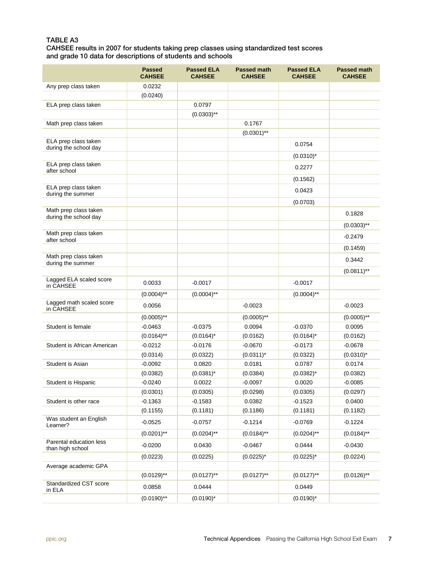#### TABLE A3

CAHSEE results in 2007 for students taking prep classes using standardized test scores and grade 10 data for descriptions of students and schools

|                                                | <b>Passed</b><br><b>CAHSEE</b> | <b>Passed ELA</b><br><b>CAHSEE</b> | <b>Passed math</b><br><b>CAHSEE</b> | <b>Passed ELA</b><br><b>CAHSEE</b> | <b>Passed math</b><br><b>CAHSEE</b> |
|------------------------------------------------|--------------------------------|------------------------------------|-------------------------------------|------------------------------------|-------------------------------------|
| Any prep class taken                           | 0.0232                         |                                    |                                     |                                    |                                     |
|                                                | (0.0240)                       |                                    |                                     |                                    |                                     |
| ELA prep class taken                           |                                | 0.0797                             |                                     |                                    |                                     |
|                                                |                                | $(0.0303)$ **                      |                                     |                                    |                                     |
| Math prep class taken                          |                                |                                    | 0.1767                              |                                    |                                     |
|                                                |                                |                                    | $(0.0301)$ **                       |                                    |                                     |
| ELA prep class taken<br>during the school day  |                                |                                    |                                     | 0.0754                             |                                     |
|                                                |                                |                                    |                                     | $(0.0310)^*$                       |                                     |
| ELA prep class taken<br>after school           |                                |                                    |                                     | 0.2277                             |                                     |
|                                                |                                |                                    |                                     | (0.1562)                           |                                     |
| ELA prep class taken<br>during the summer      |                                |                                    |                                     | 0.0423                             |                                     |
|                                                |                                |                                    |                                     | (0.0703)                           |                                     |
| Math prep class taken<br>during the school day |                                |                                    |                                     |                                    | 0.1828                              |
|                                                |                                |                                    |                                     |                                    | $(0.0303)$ **                       |
| Math prep class taken<br>after school          |                                |                                    |                                     |                                    | $-0.2479$                           |
|                                                |                                |                                    |                                     |                                    | (0.1459)                            |
| Math prep class taken<br>during the summer     |                                |                                    |                                     |                                    | 0.3442                              |
|                                                |                                |                                    |                                     |                                    | $(0.0811)$ **                       |
| Lagged ELA scaled score<br>in CAHSEE           | 0.0033                         | $-0.0017$                          |                                     | $-0.0017$                          |                                     |
|                                                | $(0.0004)$ **                  | $(0.0004)$ **                      |                                     | $(0.0004)$ **                      |                                     |
| Lagged math scaled score<br>in CAHSEE          | 0.0056                         |                                    | $-0.0023$                           |                                    | $-0.0023$                           |
|                                                | $(0.0005)$ **                  |                                    | $(0.0005)$ **                       |                                    | $(0.0005)$ **                       |
| Student is female                              | $-0.0463$                      | $-0.0375$                          | 0.0094                              | $-0.0370$                          | 0.0095                              |
|                                                | $(0.0164)$ **                  | $(0.0164)^*$                       | (0.0162)                            | $(0.0164)^*$                       | (0.0162)                            |
| Student is African American                    | $-0.0212$                      | $-0.0176$                          | $-0.0670$                           | $-0.0173$                          | $-0.0678$                           |
|                                                | (0.0314)                       | (0.0322)                           | $(0.0311)^*$                        | (0.0322)                           | $(0.0310)^*$                        |
| Student is Asian                               | $-0.0092$                      | 0.0820                             | 0.0181                              | 0.0787                             | 0.0174                              |
|                                                | (0.0382)                       | $(0.0381)^*$                       | (0.0384)                            | $(0.0382)^{*}$                     | (0.0382)                            |
| Student is Hispanic                            | $-0.0240$                      | 0.0022                             | $-0.0097$                           | 0.0020                             | $-0.0085$                           |
|                                                | (0.0301)                       | (0.0305)                           | (0.0298)                            | (0.0305)                           | (0.0297)                            |
| Student is other race                          | $-0.1363$                      | $-0.1583$                          | 0.0382                              | $-0.1523$                          | 0.0400                              |
|                                                | (0.1155)                       | (0.1181)                           | (0.1186)                            | (0.1181)                           | (0.1182)                            |
| Was student an English<br>Learner?             | $-0.0525$                      | $-0.0757$                          | $-0.1214$                           | $-0.0769$                          | $-0.1224$                           |
|                                                | $(0.0201)$ **                  | $(0.0204)$ **                      | $(0.0184)$ **                       | $(0.0204)$ **                      | $(0.0184)$ **                       |
| Parental education less<br>than high school    | $-0.0200$                      | 0.0430                             | $-0.0467$                           | 0.0444                             | $-0.0430$                           |
|                                                | (0.0223)                       | (0.0225)                           | $(0.0225)^{*}$                      | $(0.0225)^{*}$                     | (0.0224)                            |
| Average academic GPA                           |                                |                                    |                                     |                                    |                                     |
|                                                | $(0.0129)$ **                  | $(0.0127)$ **                      | $(0.0127)$ **                       | $(0.0127)$ **                      | $(0.0126)$ **                       |
| Standardized CST score<br>in ELA               | 0.0858                         | 0.0444                             |                                     | 0.0449                             |                                     |
|                                                | $(0.0190)$ **                  | $(0.0190)^*$                       |                                     | $(0.0190)^*$                       |                                     |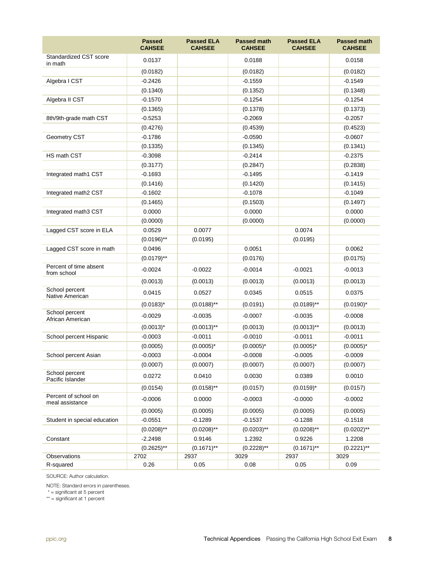|                                         | <b>Passed</b><br><b>CAHSEE</b> | <b>Passed ELA</b><br><b>CAHSEE</b> | <b>Passed math</b><br><b>CAHSEE</b> | <b>Passed ELA</b><br><b>CAHSEE</b> | <b>Passed math</b><br><b>CAHSEE</b> |
|-----------------------------------------|--------------------------------|------------------------------------|-------------------------------------|------------------------------------|-------------------------------------|
| Standardized CST score<br>in math       | 0.0137                         |                                    | 0.0188                              |                                    | 0.0158                              |
|                                         | (0.0182)                       |                                    | (0.0182)                            |                                    | (0.0182)                            |
| Algebra I CST                           | $-0.2426$                      |                                    | $-0.1559$                           |                                    | $-0.1549$                           |
|                                         | (0.1340)                       |                                    | (0.1352)                            |                                    | (0.1348)                            |
| Algebra II CST                          | $-0.1570$                      |                                    | $-0.1254$                           |                                    | $-0.1254$                           |
|                                         | (0.1365)                       |                                    | (0.1378)                            |                                    | (0.1373)                            |
| 8th/9th-grade math CST                  | $-0.5253$                      |                                    | $-0.2069$                           |                                    | $-0.2057$                           |
|                                         | (0.4276)                       |                                    | (0.4539)                            |                                    | (0.4523)                            |
| Geometry CST                            | $-0.1786$                      |                                    | $-0.0590$                           |                                    | $-0.0607$                           |
|                                         | (0.1335)                       |                                    | (0.1345)                            |                                    | (0.1341)                            |
| HS math CST                             | $-0.3098$                      |                                    | $-0.2414$                           |                                    | $-0.2375$                           |
|                                         | (0.3177)                       |                                    | (0.2847)                            |                                    | (0.2838)                            |
| Integrated math1 CST                    | $-0.1693$                      |                                    | $-0.1495$                           |                                    | $-0.1419$                           |
|                                         | (0.1416)                       |                                    | (0.1420)                            |                                    | (0.1415)                            |
| Integrated math2 CST                    | $-0.1602$                      |                                    | $-0.1078$                           |                                    | $-0.1049$                           |
|                                         | (0.1465)                       |                                    | (0.1503)                            |                                    | (0.1497)                            |
| Integrated math3 CST                    | 0.0000                         |                                    | 0.0000                              |                                    | 0.0000                              |
|                                         | (0.0000)                       |                                    | (0.0000)                            |                                    | (0.0000)                            |
| Lagged CST score in ELA                 | 0.0529                         | 0.0077                             |                                     | 0.0074                             |                                     |
|                                         | $(0.0196)$ **                  | (0.0195)                           |                                     | (0.0195)                           |                                     |
| Lagged CST score in math                | 0.0496                         |                                    | 0.0051                              |                                    | 0.0062                              |
|                                         | $(0.0179)$ **                  |                                    | (0.0176)                            |                                    | (0.0175)                            |
| Percent of time absent<br>from school   | $-0.0024$                      | $-0.0022$                          | $-0.0014$                           | $-0.0021$                          | $-0.0013$                           |
|                                         | (0.0013)                       | (0.0013)                           | (0.0013)                            | (0.0013)                           | (0.0013)                            |
| School percent<br>Native American       | 0.0415                         | 0.0527                             | 0.0345                              | 0.0515                             | 0.0375                              |
|                                         | $(0.0183)^*$                   | $(0.0188)$ **                      | (0.0191)                            | (0.0189)**                         | $(0.0190)^*$                        |
| School percent<br>African American      | $-0.0029$                      | $-0.0035$                          | $-0.0007$                           | $-0.0035$                          | $-0.0008$                           |
|                                         | $(0.0013)^*$                   | $(0.0013)$ **                      | (0.0013)                            | $(0.0013)$ **                      | (0.0013)                            |
| School percent Hispanic                 | $-0.0003$                      | $-0.0011$                          | $-0.0010$                           | $-0.0011$                          | $-0.0011$                           |
|                                         | (0.0005)                       | $(0.0005)^*$                       | $(0.0005)^*$                        | $(0.0005)^*$                       | $(0.0005)^*$                        |
| School percent Asian                    | $-0.0003$                      | $-0.0004$                          | $-0.0008$                           | $-0.0005$                          | $-0.0009$                           |
|                                         | (0.0007)                       | (0.0007)                           | (0.0007)                            | (0.0007)                           | (0.0007)                            |
| School percent<br>Pacific Islander      | 0.0272                         | 0.0410                             | 0.0030                              | 0.0389                             | 0.0010                              |
|                                         | (0.0154)                       | $(0.0158)$ **                      | (0.0157)                            | $(0.0159)^*$                       | (0.0157)                            |
| Percent of school on<br>meal assistance | $-0.0006$                      | 0.0000                             | $-0.0003$                           | $-0.0000$                          | $-0.0002$                           |
|                                         | (0.0005)                       | (0.0005)                           | (0.0005)                            | (0.0005)                           | (0.0005)                            |
| Student in special education            | $-0.0551$                      | $-0.1289$                          | $-0.1537$                           | $-0.1288$                          | $-0.1518$                           |
|                                         | $(0.0208)$ **                  | $(0.0208)$ **                      | $(0.0203)$ **                       | $(0.0208)$ **                      | $(0.0202)$ **                       |
| Constant                                | $-2.2498$                      | 0.9146                             | 1.2392                              | 0.9226                             | 1.2208                              |
|                                         | $(0.2625)$ **                  | $(0.1671)$ **                      | $(0.2228)$ **                       | $(0.1671)$ **                      | $(0.2221)$ **                       |
| Observations                            | 2702                           | 2937                               | 3029                                | 2937                               | 3029                                |
| R-squared                               | 0.26                           | 0.05                               | 0.08                                | 0.05                               | 0.09                                |

SOURCE: Author calculation.

NOTE: Standard errors in parentheses.

\* = significant at 5 percent

\*\* = significant at 1 percent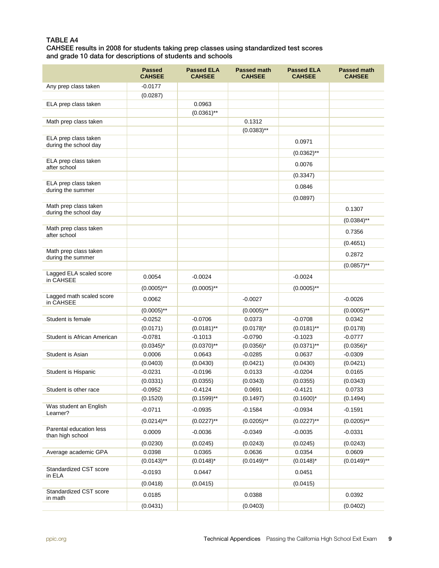#### TABLE A4

CAHSEE results in 2008 for students taking prep classes using standardized test scores and grade 10 data for descriptions of students and schools

|                                                | <b>Passed</b><br><b>CAHSEE</b> | <b>Passed ELA</b><br><b>CAHSEE</b> | <b>Passed math</b><br><b>CAHSEE</b> | <b>Passed ELA</b><br><b>CAHSEE</b> | <b>Passed math</b><br><b>CAHSEE</b> |
|------------------------------------------------|--------------------------------|------------------------------------|-------------------------------------|------------------------------------|-------------------------------------|
| Any prep class taken                           | $-0.0177$                      |                                    |                                     |                                    |                                     |
|                                                | (0.0287)                       |                                    |                                     |                                    |                                     |
| ELA prep class taken                           |                                | 0.0963                             |                                     |                                    |                                     |
|                                                |                                | $(0.0361)$ **                      |                                     |                                    |                                     |
| Math prep class taken                          |                                |                                    | 0.1312                              |                                    |                                     |
|                                                |                                |                                    | $(0.0383)$ **                       |                                    |                                     |
| ELA prep class taken<br>during the school day  |                                |                                    |                                     | 0.0971                             |                                     |
|                                                |                                |                                    |                                     | $(0.0362)$ **                      |                                     |
| ELA prep class taken<br>after school           |                                |                                    |                                     | 0.0076                             |                                     |
|                                                |                                |                                    |                                     | (0.3347)                           |                                     |
| ELA prep class taken<br>during the summer      |                                |                                    |                                     | 0.0846                             |                                     |
|                                                |                                |                                    |                                     | (0.0897)                           |                                     |
| Math prep class taken<br>during the school day |                                |                                    |                                     |                                    | 0.1307                              |
|                                                |                                |                                    |                                     |                                    | $(0.0384)$ **                       |
| Math prep class taken<br>after school          |                                |                                    |                                     |                                    | 0.7356                              |
|                                                |                                |                                    |                                     |                                    | (0.4651)                            |
| Math prep class taken<br>during the summer     |                                |                                    |                                     |                                    | 0.2872                              |
|                                                |                                |                                    |                                     |                                    | $(0.0857)$ **                       |
| Lagged ELA scaled score<br>in CAHSEE           | 0.0054                         | $-0.0024$                          |                                     | $-0.0024$                          |                                     |
|                                                | $(0.0005)$ **                  | $(0.0005)$ **                      |                                     | $(0.0005)$ **                      |                                     |
| Lagged math scaled score<br>in CAHSEE          | 0.0062                         |                                    | $-0.0027$                           |                                    | $-0.0026$                           |
|                                                | $(0.0005)$ **                  |                                    | $(0.0005)$ **                       |                                    | $(0.0005)$ **                       |
| Student is female                              | $-0.0252$                      | $-0.0706$                          | 0.0373                              | $-0.0708$                          | 0.0342                              |
|                                                | (0.0171)                       | $(0.0181)$ **                      | $(0.0178)^*$                        | $(0.0181)$ **                      | (0.0178)                            |
| Student is African American                    | $-0.0781$                      | $-0.1013$                          | $-0.0790$                           | $-0.1023$                          | $-0.0777$                           |
|                                                | $(0.0345)^*$                   | $(0.0370)$ **                      | $(0.0356)^*$                        | $(0.0371)$ **                      | $(0.0356)^*$                        |
| Student is Asian                               | 0.0006<br>(0.0403)             | 0.0643<br>(0.0430)                 | $-0.0285$<br>(0.0421)               | 0.0637<br>(0.0430)                 | $-0.0309$<br>(0.0421)               |
| Student is Hispanic                            | $-0.0231$                      | $-0.0196$                          | 0.0133                              | $-0.0204$                          | 0.0165                              |
|                                                | (0.0331)                       | (0.0355)                           | (0.0343)                            | (0.0355)                           | (0.0343)                            |
| Student is other race                          | $-0.0952$                      | $-0.4124$                          | 0.0691                              | $-0.4121$                          | 0.0733                              |
|                                                | (0.1520)                       | $(0.1599)$ **                      | (0.1497)                            | $(0.1600)^*$                       | (0.1494)                            |
| Was student an English<br>Learner?             | $-0.0711$                      | $-0.0935$                          | $-0.1584$                           | $-0.0934$                          | $-0.1591$                           |
|                                                | $(0.0214)$ **                  | $(0.0227)$ **                      | $(0.0205)$ **                       | $(0.0227)$ **                      | $(0.0205)$ **                       |
| Parental education less<br>than high school    | 0.0009                         | $-0.0036$                          | $-0.0349$                           | $-0.0035$                          | $-0.0331$                           |
|                                                | (0.0230)                       | (0.0245)                           | (0.0243)                            | (0.0245)                           | (0.0243)                            |
| Average academic GPA                           | 0.0398                         | 0.0365                             | 0.0636                              | 0.0354                             | 0.0609                              |
|                                                | $(0.0143)$ **                  | $(0.0148)^*$                       | $(0.0149)$ **                       | $(0.0148)^*$                       | $(0.0149)$ **                       |
| Standardized CST score<br>in ELA               | $-0.0193$                      | 0.0447                             |                                     | 0.0451                             |                                     |
|                                                | (0.0418)                       | (0.0415)                           |                                     | (0.0415)                           |                                     |
| Standardized CST score<br>in math              | 0.0185                         |                                    | 0.0388                              |                                    | 0.0392                              |
|                                                | (0.0431)                       |                                    | (0.0403)                            |                                    | (0.0402)                            |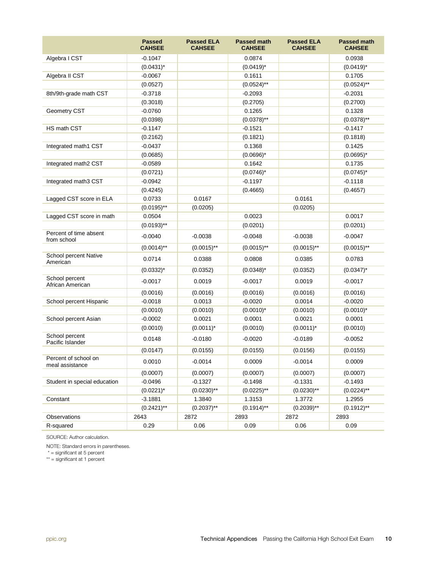|                                         | <b>Passed</b><br><b>CAHSEE</b> | <b>Passed ELA</b><br><b>CAHSEE</b> | <b>Passed math</b><br><b>CAHSEE</b> | <b>Passed ELA</b><br><b>CAHSEE</b> | <b>Passed math</b><br><b>CAHSEE</b> |
|-----------------------------------------|--------------------------------|------------------------------------|-------------------------------------|------------------------------------|-------------------------------------|
| Algebra I CST                           | $-0.1047$                      |                                    | 0.0874                              |                                    | 0.0938                              |
|                                         | $(0.0431)^*$                   |                                    | $(0.0419)^*$                        |                                    | $(0.0419)^*$                        |
| Algebra II CST                          | $-0.0067$                      |                                    | 0.1611                              |                                    | 0.1705                              |
|                                         | (0.0527)                       |                                    | $(0.0524)$ **                       |                                    | $(0.0524)$ **                       |
| 8th/9th-grade math CST                  | $-0.3718$                      |                                    | $-0.2093$                           |                                    | $-0.2031$                           |
|                                         | (0.3018)                       |                                    | (0.2705)                            |                                    | (0.2700)                            |
| Geometry CST                            | $-0.0760$                      |                                    | 0.1265                              |                                    | 0.1328                              |
|                                         | (0.0398)                       |                                    | $(0.0378)$ **                       |                                    | $(0.0378)$ **                       |
| HS math CST                             | $-0.1147$                      |                                    | $-0.1521$                           |                                    | $-0.1417$                           |
|                                         | (0.2162)                       |                                    | (0.1821)                            |                                    | (0.1818)                            |
| Integrated math1 CST                    | $-0.0437$                      |                                    | 0.1368                              |                                    | 0.1425                              |
|                                         | (0.0685)                       |                                    | $(0.0696)^*$                        |                                    | $(0.0695)^*$                        |
| Integrated math2 CST                    | $-0.0589$                      |                                    | 0.1642                              |                                    | 0.1735                              |
|                                         | (0.0721)                       |                                    | $(0.0746)^*$                        |                                    | $(0.0745)^*$                        |
| Integrated math3 CST                    | $-0.0942$                      |                                    | $-0.1197$                           |                                    | $-0.1118$                           |
|                                         | (0.4245)                       |                                    | (0.4665)                            |                                    | (0.4657)                            |
| Lagged CST score in ELA                 | 0.0733                         | 0.0167                             |                                     | 0.0161                             |                                     |
|                                         | $(0.0195)$ **                  | (0.0205)                           |                                     | (0.0205)                           |                                     |
| Lagged CST score in math                | 0.0504                         |                                    | 0.0023                              |                                    | 0.0017                              |
|                                         | $(0.0193)$ **                  |                                    | (0.0201)                            |                                    | (0.0201)                            |
| Percent of time absent<br>from school   | $-0.0040$                      | $-0.0038$                          | $-0.0048$                           | $-0.0038$                          | $-0.0047$                           |
|                                         | $(0.0014)$ **                  | $(0.0015)$ **                      | $(0.0015)$ **                       | $(0.0015)$ **                      | $(0.0015)$ **                       |
| School percent Native<br>American       | 0.0714                         | 0.0388                             | 0.0808                              | 0.0385                             | 0.0783                              |
|                                         | $(0.0332)^{*}$                 | (0.0352)                           | $(0.0348)^*$                        | (0.0352)                           | $(0.0347)^*$                        |
| School percent<br>African American      | $-0.0017$                      | 0.0019                             | $-0.0017$                           | 0.0019                             | $-0.0017$                           |
|                                         | (0.0016)                       | (0.0016)                           | (0.0016)                            | (0.0016)                           | (0.0016)                            |
| School percent Hispanic                 | $-0.0018$                      | 0.0013                             | $-0.0020$                           | 0.0014                             | $-0.0020$                           |
|                                         | (0.0010)                       | (0.0010)                           | $(0.0010)^*$                        | (0.0010)                           | $(0.0010)^*$                        |
| School percent Asian                    | $-0.0002$                      | 0.0021                             | 0.0001                              | 0.0021                             | 0.0001                              |
|                                         | (0.0010)                       | $(0.0011)^*$                       | (0.0010)                            | $(0.0011)^*$                       | (0.0010)                            |
| School percent<br>Pacific Islander      | 0.0148                         | $-0.0180$                          | $-0.0020$                           | $-0.0189$                          | $-0.0052$                           |
|                                         | (0.0147)                       | (0.0155)                           | (0.0155)                            | (0.0156)                           | (0.0155)                            |
| Percent of school on<br>meal assistance | 0.0010                         | $-0.0014$                          | 0.0009                              | $-0.0014$                          | 0.0009                              |
|                                         | (0.0007)                       | (0.0007)                           | (0.0007)                            | (0.0007)                           | (0.0007)                            |
| Student in special education            | $-0.0496$                      | $-0.1327$                          | $-0.1498$                           | $-0.1331$                          | $-0.1493$                           |
|                                         | $(0.0221)^*$                   | $(0.0230)$ **                      | $(0.0225)$ **                       | $(0.0230)$ **                      | $(0.0224)$ **                       |
| Constant                                | $-3.1881$                      | 1.3840                             | 1.3153                              | 1.3772                             | 1.2955                              |
|                                         | $(0.2421)$ **                  | $(0.2037)$ **                      | $(0.1914)$ **                       | $(0.2039)$ **                      | $(0.1912)$ **                       |
| Observations                            | 2643                           | 2872                               | 2893                                | 2872                               | 2893                                |
| R-squared                               | 0.29                           | 0.06                               | 0.09                                | 0.06                               | 0.09                                |

SOURCE: Author calculation.

NOTE: Standard errors in parentheses.

\* = significant at 5 percent

\*\* = significant at 1 percent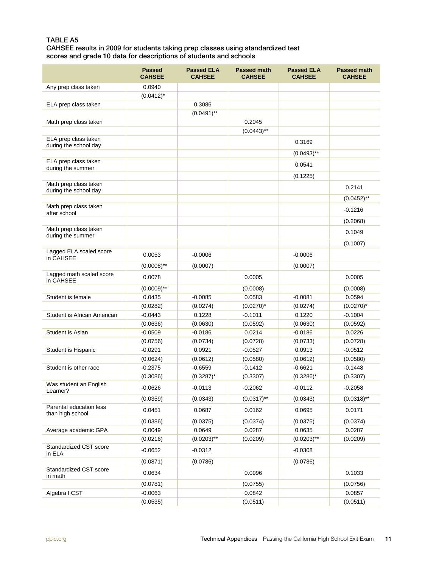#### TABLE A5

CAHSEE results in 2009 for students taking prep classes using standardized test scores and grade 10 data for descriptions of students and schools

|                                                | <b>Passed</b><br><b>CAHSEE</b> | <b>Passed ELA</b><br><b>CAHSEE</b> | <b>Passed math</b><br><b>CAHSEE</b> | <b>Passed ELA</b><br><b>CAHSEE</b> | <b>Passed math</b><br><b>CAHSEE</b> |
|------------------------------------------------|--------------------------------|------------------------------------|-------------------------------------|------------------------------------|-------------------------------------|
| Any prep class taken                           | 0.0940                         |                                    |                                     |                                    |                                     |
|                                                | $(0.0412)^*$                   |                                    |                                     |                                    |                                     |
| ELA prep class taken                           |                                | 0.3086                             |                                     |                                    |                                     |
|                                                |                                | $(0.0491)$ **                      |                                     |                                    |                                     |
| Math prep class taken                          |                                |                                    | 0.2045                              |                                    |                                     |
|                                                |                                |                                    | $(0.0443)$ **                       |                                    |                                     |
| ELA prep class taken<br>during the school day  |                                |                                    |                                     | 0.3169                             |                                     |
|                                                |                                |                                    |                                     | $(0.0493)$ **                      |                                     |
| ELA prep class taken                           |                                |                                    |                                     | 0.0541                             |                                     |
| during the summer                              |                                |                                    |                                     |                                    |                                     |
|                                                |                                |                                    |                                     | (0.1225)                           |                                     |
| Math prep class taken<br>during the school day |                                |                                    |                                     |                                    | 0.2141                              |
|                                                |                                |                                    |                                     |                                    | $(0.0452)$ **                       |
| Math prep class taken                          |                                |                                    |                                     |                                    | $-0.1216$                           |
| after school                                   |                                |                                    |                                     |                                    | (0.2068)                            |
| Math prep class taken                          |                                |                                    |                                     |                                    |                                     |
| during the summer                              |                                |                                    |                                     |                                    | 0.1049                              |
|                                                |                                |                                    |                                     |                                    | (0.1007)                            |
| Lagged ELA scaled score<br>in CAHSEE           | 0.0053                         | $-0.0006$                          |                                     | $-0.0006$                          |                                     |
|                                                | $(0.0008)$ **                  | (0.0007)                           |                                     | (0.0007)                           |                                     |
| Lagged math scaled score                       |                                |                                    | 0.0005                              |                                    |                                     |
| in CAHSEE                                      | 0.0078                         |                                    |                                     |                                    | 0.0005                              |
|                                                | $(0.0009)$ **                  |                                    | (0.0008)                            |                                    | (0.0008)                            |
| Student is female                              | 0.0435                         | $-0.0085$                          | 0.0583                              | $-0.0081$                          | 0.0594                              |
|                                                | (0.0282)                       | (0.0274)                           | $(0.0270)^*$                        | (0.0274)                           | $(0.0270)^*$                        |
| Student is African American                    | $-0.0443$                      | 0.1228                             | $-0.1011$                           | 0.1220                             | $-0.1004$                           |
| Student is Asian                               | (0.0636)<br>$-0.0509$          | (0.0630)<br>-0.0186                | (0.0592)<br>0.0214                  | (0.0630)<br>$-0.0186$              | (0.0592)<br>0.0226                  |
|                                                | (0.0756)                       | (0.0734)                           | (0.0728)                            | (0.0733)                           | (0.0728)                            |
| Student is Hispanic                            | $-0.0291$                      | 0.0921                             | $-0.0527$                           | 0.0913                             | $-0.0512$                           |
|                                                | (0.0624)                       | (0.0612)                           | (0.0580)                            | (0.0612)                           | (0.0580)                            |
| Student is other race                          | $-0.2375$                      | $-0.6559$                          | $-0.1412$                           | $-0.6621$                          | $-0.1448$                           |
|                                                | (0.3086)                       | $(0.3287)^*$                       | (0.3307)                            | $(0.3286)^*$                       | (0.3307)                            |
| Was student an English<br>Learner?             | $-0.0626$                      | $-0.0113$                          | $-0.2062$                           | $-0.0112$                          | $-0.2058$                           |
|                                                | (0.0359)                       | (0.0343)                           | $(0.0317)$ **                       | (0.0343)                           | $(0.0318)$ **                       |
| Parental education less<br>than high school    | 0.0451                         | 0.0687                             | 0.0162                              | 0.0695                             | 0.0171                              |
|                                                | (0.0386)                       | (0.0375)                           | (0.0374)                            | (0.0375)                           | (0.0374)                            |
| Average academic GPA                           | 0.0049                         | 0.0649                             | 0.0287                              | 0.0635                             | 0.0287                              |
|                                                | (0.0216)                       | $(0.0203)$ **                      | (0.0209)                            | $(0.0203)$ **                      | (0.0209)                            |
| Standardized CST score<br>in ELA               | $-0.0652$                      | $-0.0312$                          |                                     | $-0.0308$                          |                                     |
|                                                | (0.0871)                       | (0.0786)                           |                                     | (0.0786)                           |                                     |
| Standardized CST score<br>in math              | 0.0634                         |                                    | 0.0996                              |                                    | 0.1033                              |
|                                                | (0.0781)                       |                                    | (0.0755)                            |                                    | (0.0756)                            |
| Algebra I CST                                  | $-0.0063$                      |                                    | 0.0842                              |                                    | 0.0857                              |
|                                                | (0.0535)                       |                                    | (0.0511)                            |                                    | (0.0511)                            |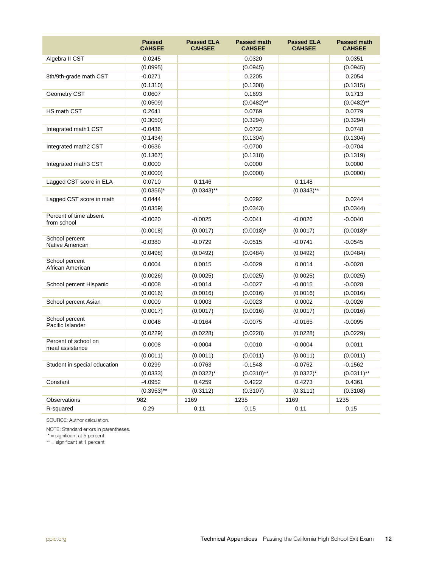|                                         | <b>Passed</b><br><b>CAHSEE</b> | <b>Passed ELA</b><br><b>CAHSEE</b> | <b>Passed math</b><br><b>CAHSEE</b> | <b>Passed ELA</b><br><b>CAHSEE</b> | <b>Passed math</b><br><b>CAHSEE</b> |
|-----------------------------------------|--------------------------------|------------------------------------|-------------------------------------|------------------------------------|-------------------------------------|
| Algebra II CST                          | 0.0245                         |                                    | 0.0320                              |                                    | 0.0351                              |
|                                         | (0.0995)                       |                                    | (0.0945)                            |                                    | (0.0945)                            |
| 8th/9th-grade math CST                  | $-0.0271$                      |                                    | 0.2205                              |                                    | 0.2054                              |
|                                         | (0.1310)                       |                                    | (0.1308)                            |                                    | (0.1315)                            |
| Geometry CST                            | 0.0607                         |                                    | 0.1693                              |                                    | 0.1713                              |
|                                         | (0.0509)                       |                                    | $(0.0482)$ **                       |                                    | $(0.0482)$ **                       |
| HS math CST                             | 0.2641                         |                                    | 0.0769                              |                                    | 0.0779                              |
|                                         | (0.3050)                       |                                    | (0.3294)                            |                                    | (0.3294)                            |
| Integrated math1 CST                    | $-0.0436$                      |                                    | 0.0732                              |                                    | 0.0748                              |
|                                         | (0.1434)                       |                                    | (0.1304)                            |                                    | (0.1304)                            |
| Integrated math2 CST                    | $-0.0636$                      |                                    | $-0.0700$                           |                                    | $-0.0704$                           |
|                                         | (0.1367)                       |                                    | (0.1318)                            |                                    | (0.1319)                            |
| Integrated math3 CST                    | 0.0000                         |                                    | 0.0000                              |                                    | 0.0000                              |
|                                         | (0.0000)                       |                                    | (0.0000)                            |                                    | (0.0000)                            |
| Lagged CST score in ELA                 | 0.0710                         | 0.1146                             |                                     | 0.1148                             |                                     |
|                                         | $(0.0356)^*$                   | $(0.0343)$ **                      |                                     | $(0.0343)$ **                      |                                     |
| Lagged CST score in math                | 0.0444                         |                                    | 0.0292                              |                                    | 0.0244                              |
|                                         | (0.0359)                       |                                    | (0.0343)                            |                                    | (0.0344)                            |
| Percent of time absent<br>from school   | $-0.0020$                      | $-0.0025$                          | $-0.0041$                           | $-0.0026$                          | $-0.0040$                           |
|                                         | (0.0018)                       | (0.0017)                           | $(0.0018)^*$                        | (0.0017)                           | $(0.0018)^*$                        |
| School percent<br>Native American       | $-0.0380$                      | $-0.0729$                          | $-0.0515$                           | $-0.0741$                          | $-0.0545$                           |
|                                         | (0.0498)                       | (0.0492)                           | (0.0484)                            | (0.0492)                           | (0.0484)                            |
| School percent<br>African American      | 0.0004                         | 0.0015                             | $-0.0029$                           | 0.0014                             | $-0.0028$                           |
|                                         | (0.0026)                       | (0.0025)                           | (0.0025)                            | (0.0025)                           | (0.0025)                            |
| School percent Hispanic                 | $-0.0008$                      | $-0.0014$                          | $-0.0027$                           | $-0.0015$                          | $-0.0028$                           |
|                                         | (0.0016)                       | (0.0016)                           | (0.0016)                            | (0.0016)                           | (0.0016)                            |
| School percent Asian                    | 0.0009                         | 0.0003                             | $-0.0023$                           | 0.0002                             | $-0.0026$                           |
|                                         | (0.0017)                       | (0.0017)                           | (0.0016)                            | (0.0017)                           | (0.0016)                            |
| School percent<br>Pacific Islander      | 0.0048                         | $-0.0164$                          | $-0.0075$                           | $-0.0165$                          | $-0.0095$                           |
|                                         | (0.0229)                       | (0.0228)                           | (0.0228)                            | (0.0228)                           | (0.0229)                            |
| Percent of school on<br>meal assistance | 0.0008                         | $-0.0004$                          | 0.0010                              | $-0.0004$                          | 0.0011                              |
|                                         | (0.0011)                       | (0.0011)                           | (0.0011)                            | (0.0011)                           | (0.0011)                            |
| Student in special education            | 0.0299                         | $-0.0763$                          | $-0.1548$                           | $-0.0762$                          | $-0.1562$                           |
|                                         | (0.0333)                       | $(0.0322)^*$                       | $(0.0310)$ **                       | $(0.0322)^{*}$                     | $(0.0311)$ **                       |
| Constant                                | $-4.0952$                      | 0.4259                             | 0.4222                              | 0.4273                             | 0.4361                              |
|                                         | $(0.3953)$ **                  | (0.3112)                           | (0.3107)                            | (0.3111)                           | (0.3108)                            |
| Observations                            | 982                            | 1169                               | 1235                                | 1169                               | 1235                                |
| R-squared                               | 0.29                           | 0.11                               | 0.15                                | 0.11                               | 0.15                                |

SOURCE: Author calculation.

NOTE: Standard errors in parentheses.

\* = significant at 5 percent

\*\* = significant at 1 percent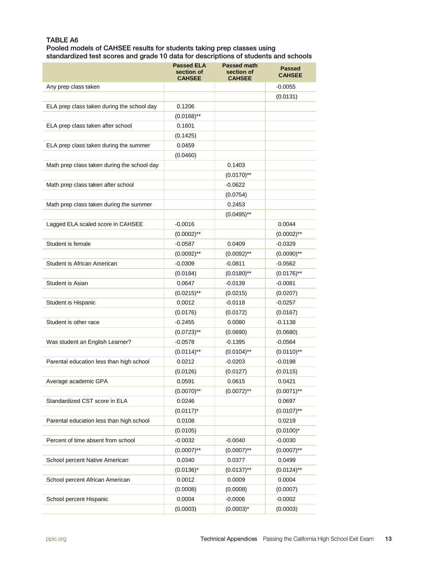#### TABLE A6

Pooled models of CAHSEE results for students taking prep classes using standardized test scores and grade 10 data for descriptions of students and schools

|                                             | <b>Passed ELA</b><br>section of<br><b>CAHSEE</b> | <b>Passed math</b><br>section of<br><b>CAHSEE</b> | <b>Passed</b><br><b>CAHSEE</b> |
|---------------------------------------------|--------------------------------------------------|---------------------------------------------------|--------------------------------|
| Any prep class taken                        |                                                  |                                                   | $-0.0055$                      |
|                                             |                                                  |                                                   | (0.0131)                       |
| ELA prep class taken during the school day  | 0.1206                                           |                                                   |                                |
|                                             | $(0.0168)$ **                                    |                                                   |                                |
| ELA prep class taken after school           | 0.1601                                           |                                                   |                                |
|                                             | (0.1425)                                         |                                                   |                                |
| ELA prep class taken during the summer      | 0.0459                                           |                                                   |                                |
|                                             | (0.0460)                                         |                                                   |                                |
| Math prep class taken during the school day |                                                  | 0.1403                                            |                                |
|                                             |                                                  | $(0.0170)$ <sup>**</sup>                          |                                |
| Math prep class taken after school          |                                                  | $-0.0622$                                         |                                |
|                                             |                                                  | (0.0754)                                          |                                |
| Math prep class taken during the summer     |                                                  | 0.2453                                            |                                |
|                                             |                                                  | $(0.0495)$ **                                     |                                |
| Lagged ELA scaled score in CAHSEE           | $-0.0016$                                        |                                                   | 0.0044                         |
|                                             | $(0.0002)$ **                                    |                                                   | $(0.0002)$ **                  |
| Student is female                           | $-0.0587$                                        | 0.0409                                            | $-0.0329$                      |
|                                             | $(0.0092)$ **                                    | $(0.0092)$ **                                     | $(0.0090)$ **                  |
| Student is African American                 | $-0.0309$                                        | $-0.0811$                                         | $-0.0562$                      |
|                                             | (0.0184)                                         | $(0.0180)$ **                                     | $(0.0176)$ **                  |
| Student is Asian                            | 0.0647                                           | $-0.0139$                                         | $-0.0081$                      |
|                                             | $(0.0215)$ **                                    | (0.0215)                                          | (0.0207)                       |
| Student is Hispanic                         | 0.0012                                           | $-0.0118$                                         | $-0.0257$                      |
|                                             | (0.0176)                                         | (0.0172)                                          | (0.0167)                       |
| Student is other race                       | $-0.2455$                                        | 0.0080                                            | $-0.1138$                      |
|                                             | $(0.0723)$ **                                    | (0.0690)                                          | (0.0680)                       |
| Was student an English Learner?             | -0.0578                                          | $-0.1395$                                         | $-0.0564$                      |
|                                             | $(0.0114)$ **                                    | $(0.0104)$ <sup>**</sup>                          | $(0.0110)$ **                  |
| Parental education less than high school    | 0.0212                                           | $-0.0203$                                         | $-0.0198$                      |
|                                             | (0.0126)                                         | (0.0127)                                          | (0.0115)                       |
| Average academic GPA                        | 0.0591                                           | 0.0615                                            | 0.0421                         |
|                                             | $(0.0070)$ **                                    | $(0.0072)$ **                                     | $(0.0071)$ **                  |
| Standardized CST score in ELA               | 0.0246                                           |                                                   | 0.0697                         |
|                                             | $(0.0117)^*$                                     |                                                   | $(0.0107)$ **                  |
| Parental education less than high school    | 0.0108                                           |                                                   | 0.0219                         |
|                                             |                                                  |                                                   |                                |
| Percent of time absent from school          | (0.0105)                                         |                                                   | $(0.0100)^*$                   |
|                                             | -0.0032<br>$(0.0007)$ **                         | $-0.0040$<br>$(0.0007)$ **                        | $-0.0030$                      |
|                                             |                                                  |                                                   | $(0.0007)$ **                  |
| School percent Native American              | 0.0340                                           | 0.0377                                            | 0.0499                         |
|                                             | $(0.0136)^*$                                     | $(0.0137)$ **                                     | $(0.0124)$ **                  |
| School percent African American             | 0.0012                                           | 0.0009                                            | 0.0004                         |
|                                             | (0.0008)                                         | (0.0008)                                          | (0.0007)                       |
| School percent Hispanic                     | 0.0004                                           | $-0.0006$                                         | $-0.0002$                      |
|                                             | (0.0003)                                         | $(0.0003)^*$                                      | (0.0003)                       |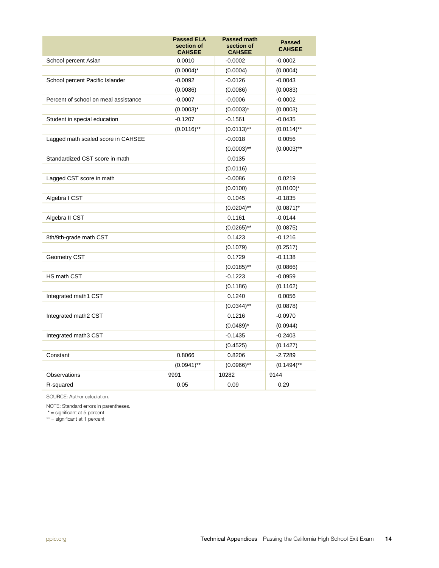|                                      | <b>Passed ELA</b><br>section of<br><b>CAHSEE</b> | <b>Passed math</b><br>section of<br><b>CAHSEE</b> | <b>Passed</b><br><b>CAHSEE</b> |
|--------------------------------------|--------------------------------------------------|---------------------------------------------------|--------------------------------|
| School percent Asian                 | 0.0010                                           | $-0.0002$                                         | $-0.0002$                      |
|                                      | $(0.0004)^*$                                     | (0.0004)                                          | (0.0004)                       |
| School percent Pacific Islander      | $-0.0092$                                        | $-0.0126$                                         | $-0.0043$                      |
|                                      | (0.0086)                                         | (0.0086)                                          | (0.0083)                       |
| Percent of school on meal assistance | $-0.0007$                                        | $-0.0006$                                         | $-0.0002$                      |
|                                      | $(0.0003)^*$                                     | $(0.0003)^*$                                      | (0.0003)                       |
| Student in special education         | $-0.1207$                                        | $-0.1561$                                         | $-0.0435$                      |
|                                      | $(0.0116)$ **                                    | $(0.0113)$ **                                     | $(0.0114)$ **                  |
| Lagged math scaled score in CAHSEE   |                                                  | $-0.0018$                                         | 0.0056                         |
|                                      |                                                  | $(0.0003)$ **                                     | $(0.0003)$ **                  |
| Standardized CST score in math       |                                                  | 0.0135                                            |                                |
|                                      |                                                  | (0.0116)                                          |                                |
| Lagged CST score in math             |                                                  | $-0.0086$                                         | 0.0219                         |
|                                      |                                                  | (0.0100)                                          | $(0.0100)^*$                   |
| Algebra I CST                        |                                                  | 0.1045                                            | $-0.1835$                      |
|                                      |                                                  | $(0.0204)$ **                                     | $(0.0871)^*$                   |
| Algebra II CST                       |                                                  | 0.1161                                            | $-0.0144$                      |
|                                      |                                                  | $(0.0265)$ **                                     | (0.0875)                       |
| 8th/9th-grade math CST               |                                                  | 0.1423                                            | $-0.1216$                      |
|                                      |                                                  | (0.1079)                                          | (0.2517)                       |
| Geometry CST                         |                                                  | 0.1729                                            | $-0.1138$                      |
|                                      |                                                  | $(0.0185)$ **                                     | (0.0866)                       |
| HS math CST                          |                                                  | $-0.1223$                                         | $-0.0959$                      |
|                                      |                                                  | (0.1186)                                          | (0.1162)                       |
| Integrated math1 CST                 |                                                  | 0.1240                                            | 0.0056                         |
|                                      |                                                  | $(0.0344)$ **                                     | (0.0878)                       |
| Integrated math2 CST                 |                                                  | 0.1216                                            | $-0.0970$                      |
|                                      |                                                  | $(0.0489)^*$                                      | (0.0944)                       |
| Integrated math3 CST                 |                                                  | $-0.1435$                                         | $-0.2403$                      |
|                                      |                                                  | (0.4525)                                          | (0.1427)                       |
| Constant                             | 0.8066                                           | 0.8206                                            | $-2.7289$                      |
|                                      | $(0.0941)$ **                                    | $(0.0966)$ **                                     | $(0.1494)$ **                  |
| Observations                         | 9991                                             | 10282                                             | 9144                           |
| R-squared                            | 0.05                                             | 0.09                                              | 0.29                           |

SOURCE: Author calculation.

NOTE: Standard errors in parentheses.

\* = significant at 5 percent

\*\* = significant at 1 percent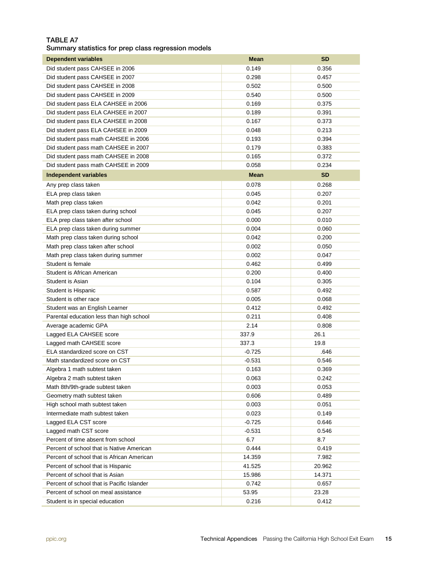#### TABLE A7

Summary statistics for prep class regression models

| <b>Dependent variables</b>                 | <b>Mean</b>    | <b>SD</b>      |
|--------------------------------------------|----------------|----------------|
| Did student pass CAHSEE in 2006            | 0.149          | 0.356          |
| Did student pass CAHSEE in 2007            | 0.298          | 0.457          |
| Did student pass CAHSEE in 2008            | 0.502          | 0.500          |
| Did student pass CAHSEE in 2009            | 0.540          | 0.500          |
| Did student pass ELA CAHSEE in 2006        | 0.169          | 0.375          |
| Did student pass ELA CAHSEE in 2007        | 0.189          | 0.391          |
| Did student pass ELA CAHSEE in 2008        | 0.167          | 0.373          |
| Did student pass ELA CAHSEE in 2009        | 0.048          | 0.213          |
| Did student pass math CAHSEE in 2006       | 0.193          | 0.394          |
| Did student pass math CAHSEE in 2007       | 0.179          | 0.383          |
| Did student pass math CAHSEE in 2008       | 0.165          | 0.372          |
| Did student pass math CAHSEE in 2009       | 0.058          | 0.234          |
| <b>Independent variables</b>               | <b>Mean</b>    | <b>SD</b>      |
| Any prep class taken                       | 0.078          | 0.268          |
| ELA prep class taken                       | 0.045          | 0.207          |
| Math prep class taken                      | 0.042          | 0.201          |
| ELA prep class taken during school         | 0.045          | 0.207          |
| ELA prep class taken after school          | 0.000          | 0.010          |
| ELA prep class taken during summer         | 0.004          | 0.060          |
| Math prep class taken during school        | 0.042          | 0.200          |
| Math prep class taken after school         | 0.002          | 0.050          |
| Math prep class taken during summer        | 0.002          | 0.047          |
| Student is female                          | 0.462          | 0.499          |
| Student is African American                | 0.200          | 0.400          |
| Student is Asian                           | 0.104          | 0.305          |
| Student is Hispanic                        | 0.587          | 0.492          |
| Student is other race                      | 0.005          | 0.068          |
| Student was an English Learner             | 0.412          | 0.492          |
| Parental education less than high school   | 0.211          | 0.408          |
| Average academic GPA                       | 2.14           | 0.808          |
| Lagged ELA CAHSEE score                    | 337.9          | 26.1           |
| Lagged math CAHSEE score                   | 337.3          | 19.8           |
| ELA standardized score on CST              | $-0.725$       | .646           |
| Math standardized score on CST             | $-0.531$       | 0.546          |
| Algebra 1 math subtest taken               | 0.163          | 0.369          |
| Algebra 2 math subtest taken               | 0.063          | 0.242          |
| Math 8th/9th-grade subtest taken           | 0.003          | 0.053          |
| Geometry math subtest taken                | 0.606          | 0.489          |
| High school math subtest taken             | 0.003          | 0.051          |
| Intermediate math subtest taken            | 0.023          | 0.149          |
| Lagged ELA CST score                       | $-0.725$       | 0.646          |
| Lagged math CST score                      | $-0.531$       | 0.546          |
| Percent of time absent from school         | 6.7            | 8.7            |
| Percent of school that is Native American  | 0.444          | 0.419          |
| Percent of school that is African American | 14.359         | 7.982          |
| Percent of school that is Hispanic         | 41.525         | 20.962         |
| Percent of school that is Asian            |                |                |
| Percent of school that is Pacific Islander | 15.986         | 14.371         |
| Percent of school on meal assistance       | 0.742<br>53.95 | 0.657<br>23.28 |
| Student is in special education            | 0.216          | 0.412          |
|                                            |                |                |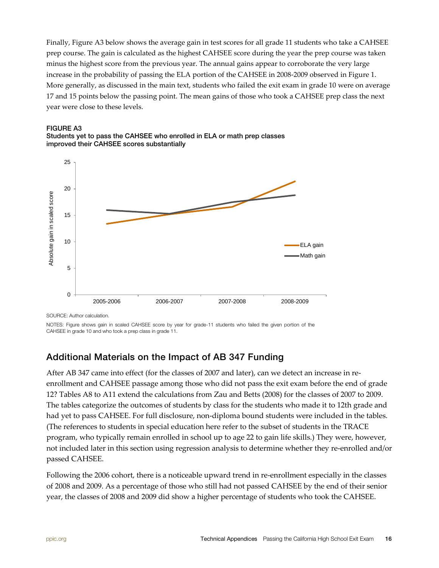Finally, Figure A3 below shows the average gain in test scores for all grade 11 students who take a CAHSEE prep course. The gain is calculated as the highest CAHSEE score during the year the prep course was taken minus the highest score from the previous year. The annual gains appear to corroborate the very large increase in the probability of passing the ELA portion of the CAHSEE in 2008-2009 observed in Figure 1. More generally, as discussed in the main text, students who failed the exit exam in grade 10 were on average 17 and 15 points below the passing point. The mean gains of those who took a CAHSEE prep class the next year were close to these levels.



Students yet to pass the CAHSEE who enrolled in ELA or math prep classes improved their CAHSEE scores substantially



SOURCE: Author calculation.

NOTES: Figure shows gain in scaled CAHSEE score by year for grade-11 students who failed the given portion of the CAHSEE in grade 10 and who took a prep class in grade 11.

## Additional Materials on the Impact of AB 347 Funding

After AB 347 came into effect (for the classes of 2007 and later), can we detect an increase in reenrollment and CAHSEE passage among those who did not pass the exit exam before the end of grade 12? Tables A8 to A11 extend the calculations from Zau and Betts (2008) for the classes of 2007 to 2009. The tables categorize the outcomes of students by class for the students who made it to 12th grade and had yet to pass CAHSEE. For full disclosure, non-diploma bound students were included in the tables. (The references to students in special education here refer to the subset of students in the TRACE program, who typically remain enrolled in school up to age 22 to gain life skills.) They were, however, not included later in this section using regression analysis to determine whether they re-enrolled and/or passed CAHSEE.

Following the 2006 cohort, there is a noticeable upward trend in re-enrollment especially in the classes of 2008 and 2009. As a percentage of those who still had not passed CAHSEE by the end of their senior year, the classes of 2008 and 2009 did show a higher percentage of students who took the CAHSEE.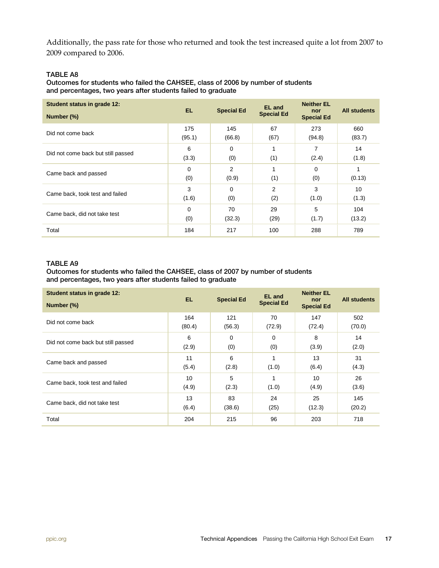Additionally, the pass rate for those who returned and took the test increased quite a lot from 2007 to 2009 compared to 2006.

#### TABLE A8

Outcomes for students who failed the CAHSEE, class of 2006 by number of students and percentages, two years after students failed to graduate

| Student status in grade 12:<br>Number (%) | EL.                | <b>Special Ed</b> | <b>EL</b> and<br><b>Special Ed</b> | <b>Neither EL</b><br>nor<br><b>Special Ed</b> | <b>All students</b> |
|-------------------------------------------|--------------------|-------------------|------------------------------------|-----------------------------------------------|---------------------|
| Did not come back                         | 175<br>(95.1)      | 145<br>(66.8)     | 67<br>(67)                         | 273<br>(94.8)                                 | 660<br>(83.7)       |
| Did not come back but still passed        | 6<br>(3.3)         | 0<br>(0)          | (1)                                | 7<br>(2.4)                                    | 14<br>(1.8)         |
| Came back and passed                      | $\Omega$<br>(0)    | 2<br>(0.9)        | (1)                                | $\Omega$<br>(0)                               | (0.13)              |
| Came back, took test and failed           | 3<br>(1.6)         | 0<br>(0)          | $\overline{2}$<br>(2)              | 3<br>(1.0)                                    | 10<br>(1.3)         |
| Came back, did not take test              | $\mathbf 0$<br>(0) | 70<br>(32.3)      | 29<br>(29)                         | 5<br>(1.7)                                    | 104<br>(13.2)       |
| Total                                     | 184                | 217               | 100                                | 288                                           | 789                 |

#### TABLE A9

Outcomes for students who failed the CAHSEE, class of 2007 by number of students and percentages, two years after students failed to graduate

| Student status in grade 12:<br>Number (%) | EL.           | <b>Special Ed</b> | <b>EL</b> and<br><b>Special Ed</b> | <b>Neither EL</b><br>nor<br><b>Special Ed</b> | <b>All students</b> |
|-------------------------------------------|---------------|-------------------|------------------------------------|-----------------------------------------------|---------------------|
| Did not come back                         | 164<br>(80.4) | 121<br>(56.3)     | 70<br>(72.9)                       | 147<br>(72.4)                                 | 502<br>(70.0)       |
| Did not come back but still passed        | 6<br>(2.9)    | 0<br>(0)          | 0<br>(0)                           | 8<br>(3.9)                                    | 14<br>(2.0)         |
| Came back and passed                      | 11<br>(5.4)   | 6<br>(2.8)        | (1.0)                              | 13<br>(6.4)                                   | 31<br>(4.3)         |
| Came back, took test and failed           | 10<br>(4.9)   | 5<br>(2.3)        | (1.0)                              | 10<br>(4.9)                                   | 26<br>(3.6)         |
| Came back, did not take test              | 13<br>(6.4)   | 83<br>(38.6)      | 24<br>(25)                         | 25<br>(12.3)                                  | 145<br>(20.2)       |
| Total                                     | 204           | 215               | 96                                 | 203                                           | 718                 |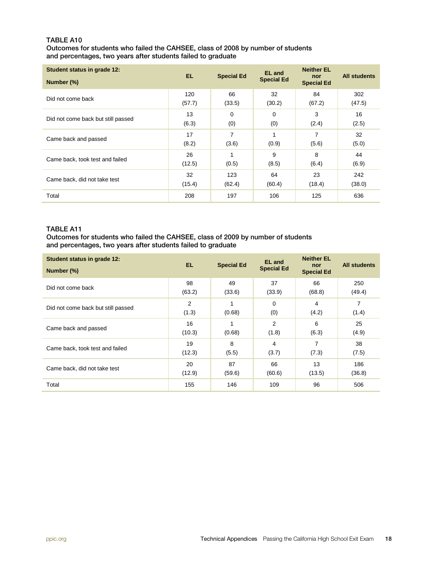#### TABLE A10 Outcomes for students who failed the CAHSEE, class of 2008 by number of students and percentages, two years after students failed to graduate

| Student status in grade 12:<br>Number (%) | EL.           | <b>Special Ed</b> | <b>EL</b> and<br><b>Special Ed</b> | <b>Neither EL</b><br>nor<br><b>Special Ed</b> | <b>All students</b> |
|-------------------------------------------|---------------|-------------------|------------------------------------|-----------------------------------------------|---------------------|
| Did not come back                         | 120<br>(57.7) | 66<br>(33.5)      | 32<br>(30.2)                       | 84<br>(67.2)                                  | 302<br>(47.5)       |
| Did not come back but still passed        | 13<br>(6.3)   | 0<br>(0)          | $\mathbf 0$<br>(0)                 | 3<br>(2.4)                                    | 16<br>(2.5)         |
| Came back and passed                      | 17<br>(8.2)   | 7<br>(3.6)        | (0.9)                              | 7<br>(5.6)                                    | 32<br>(5.0)         |
| Came back, took test and failed           | 26<br>(12.5)  | (0.5)             | 9<br>(8.5)                         | 8<br>(6.4)                                    | 44<br>(6.9)         |
| Came back, did not take test              | 32<br>(15.4)  | 123<br>(62.4)     | 64<br>(60.4)                       | 23<br>(18.4)                                  | 242<br>(38.0)       |
| Total                                     | 208           | 197               | 106                                | 125                                           | 636                 |

#### TABLE A11

#### Outcomes for students who failed the CAHSEE, class of 2009 by number of students and percentages, two years after students failed to graduate

| Student status in grade 12:<br>Number (%) | EL.          | <b>Special Ed</b> | <b>EL</b> and<br><b>Special Ed</b> | <b>Neither EL</b><br>nor<br><b>Special Ed</b> | <b>All students</b> |
|-------------------------------------------|--------------|-------------------|------------------------------------|-----------------------------------------------|---------------------|
| Did not come back                         | 98<br>(63.2) | 49<br>(33.6)      | 37<br>(33.9)                       | 66<br>(68.8)                                  | 250<br>(49.4)       |
| Did not come back but still passed        | 2<br>(1.3)   | (0.68)            | $\Omega$<br>(0)                    | 4<br>(4.2)                                    | 7<br>(1.4)          |
| Came back and passed                      | 16<br>(10.3) | (0.68)            | $\overline{2}$<br>(1.8)            | 6<br>(6.3)                                    | 25<br>(4.9)         |
| Came back, took test and failed           | 19<br>(12.3) | 8<br>(5.5)        | 4<br>(3.7)                         | 7<br>(7.3)                                    | 38<br>(7.5)         |
| Came back, did not take test              | 20<br>(12.9) | 87<br>(59.6)      | 66<br>(60.6)                       | 13<br>(13.5)                                  | 186<br>(36.8)       |
| Total                                     | 155          | 146               | 109                                | 96                                            | 506                 |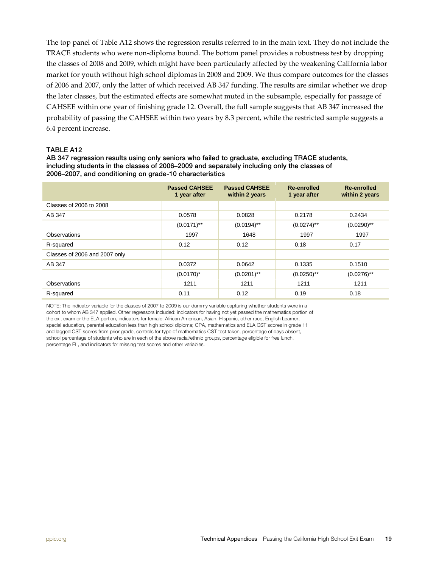The top panel of Table A12 shows the regression results referred to in the main text. They do not include the TRACE students who were non-diploma bound. The bottom panel provides a robustness test by dropping the classes of 2008 and 2009, which might have been particularly affected by the weakening California labor market for youth without high school diplomas in 2008 and 2009. We thus compare outcomes for the classes of 2006 and 2007, only the latter of which received AB 347 funding. The results are similar whether we drop the later classes, but the estimated effects are somewhat muted in the subsample, especially for passage of CAHSEE within one year of finishing grade 12. Overall, the full sample suggests that AB 347 increased the probability of passing the CAHSEE within two years by 8.3 percent, while the restricted sample suggests a 6.4 percent increase.

#### TABLE A12

AB 347 regression results using only seniors who failed to graduate, excluding TRACE students, including students in the classes of 2006–2009 and separately including only the classes of 2006–2007, and conditioning on grade-10 characteristics

|                               | <b>Passed CAHSEE</b><br>1 year after | <b>Passed CAHSEE</b><br>within 2 years | Re-enrolled<br>1 year after | Re-enrolled<br>within 2 years |
|-------------------------------|--------------------------------------|----------------------------------------|-----------------------------|-------------------------------|
| Classes of 2006 to 2008       |                                      |                                        |                             |                               |
| AB 347                        | 0.0578                               | 0.0828                                 | 0.2178                      | 0.2434                        |
|                               | $(0.0171)$ **                        | $(0.0194)$ **                          | $(0.0274)$ **               | $(0.0290)$ **                 |
| Observations                  | 1997                                 | 1648                                   | 1997                        | 1997                          |
| R-squared                     | 0.12                                 | 0.12                                   | 0.18                        | 0.17                          |
| Classes of 2006 and 2007 only |                                      |                                        |                             |                               |
| AB 347                        | 0.0372                               | 0.0642                                 | 0.1335                      | 0.1510                        |
|                               | $(0.0170)^*$                         | $(0.0201)$ **                          | $(0.0250)$ **               | $(0.0276)$ **                 |
| Observations                  | 1211                                 | 1211                                   | 1211                        | 1211                          |
| R-squared                     | 0.11                                 | 0.12                                   | 0.19                        | 0.18                          |

NOTE: The indicator variable for the classes of 2007 to 2009 is our dummy variable capturing whether students were in a cohort to whom AB 347 applied. Other regressors included: indicators for having not yet passed the mathematics portion of the exit exam or the ELA portion, indicators for female, African American, Asian, Hispanic, other race, English Learner, special education, parental education less than high school diploma; GPA, mathematics and ELA CST scores in grade 11 and lagged CST scores from prior grade, controls for type of mathematics CST test taken, percentage of days absent, school percentage of students who are in each of the above racial/ethnic groups, percentage eligible for free lunch, percentage EL, and indicators for missing test scores and other variables.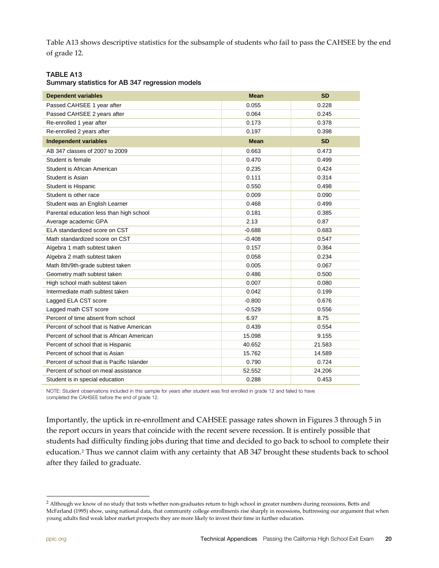Table A13 shows descriptive statistics for the subsample of students who fail to pass the CAHSEE by the end of grade 12.

#### TABLE A13

#### Summary statistics for AB 347 regression models

| <b>Dependent variables</b>                 | <b>Mean</b> | <b>SD</b> |
|--------------------------------------------|-------------|-----------|
| Passed CAHSEE 1 year after                 | 0.055       | 0.228     |
| Passed CAHSEE 2 years after                | 0.064       | 0.245     |
| Re-enrolled 1 year after                   | 0.173       | 0.378     |
| Re-enrolled 2 years after                  | 0.197       | 0.398     |
| <b>Independent variables</b>               | <b>Mean</b> | <b>SD</b> |
| AB 347 classes of 2007 to 2009             | 0.663       | 0.473     |
| Student is female                          | 0.470       | 0.499     |
| Student is African American                | 0.235       | 0.424     |
| Student is Asian                           | 0.111       | 0.314     |
| Student is Hispanic                        | 0.550       | 0.498     |
| Student is other race                      | 0.009       | 0.090     |
| Student was an English Learner             | 0.468       | 0.499     |
| Parental education less than high school   | 0.181       | 0.385     |
| Average academic GPA                       | 2.13        | 0.87      |
| ELA standardized score on CST              | $-0.688$    | 0.683     |
| Math standardized score on CST             | $-0.408$    | 0.547     |
| Algebra 1 math subtest taken               | 0.157       | 0.364     |
| Algebra 2 math subtest taken               | 0.058       | 0.234     |
| Math 8th/9th-grade subtest taken           | 0.005       | 0.067     |
| Geometry math subtest taken                | 0.486       | 0.500     |
| High school math subtest taken             | 0.007       | 0.080     |
| Intermediate math subtest taken            | 0.042       | 0.199     |
| Lagged ELA CST score                       | $-0.800$    | 0.676     |
| Lagged math CST score                      | $-0.529$    | 0.556     |
| Percent of time absent from school         | 6.97        | 8.75      |
| Percent of school that is Native American  | 0.439       | 0.554     |
| Percent of school that is African American | 15.098      | 9.155     |
| Percent of school that is Hispanic         | 40.652      | 21.583    |
| Percent of school that is Asian            | 15.762      | 14.589    |
| Percent of school that is Pacific Islander | 0.790       | 0.724     |
| Percent of school on meal assistance       | 52.552      | 24.206    |
| Student is in special education            | 0.288       | 0.453     |

NOTE: Student observations included in this sample for years after student was first enrolled in grade 12 and failed to have completed the CAHSEE before the end of grade 12.

Importantly, the uptick in re-enrollment and CAHSEE passage rates shown in Figures 3 through 5 in the report occurs in years that coincide with the recent severe recession. It is entirely possible that students had difficulty finding jobs during that time and decided to go back to school to complete their education.[2](#page-19-0) Thus we cannot claim with any certainty that AB 347 brought these students back to school after they failed to graduate.

<span id="page-19-0"></span><sup>&</sup>lt;sup>2</sup> Although we know of no study that tests whether non-graduates return to high school in greater numbers during recessions, Betts and McFarland (1995) show, using national data, that community college enrollments rise sharply in recessions, buttressing our argument that when young adults find weak labor market prospects they are more likely to invest their time in further education.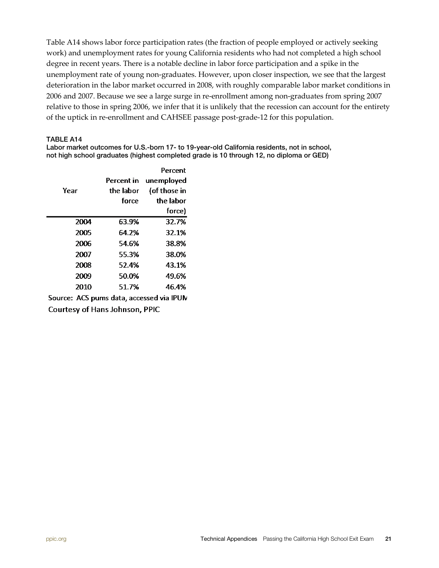Table A14 shows labor force participation rates (the fraction of people employed or actively seeking work) and unemployment rates for young California residents who had not completed a high school degree in recent years. There is a notable decline in labor force participation and a spike in the unemployment rate of young non-graduates. However, upon closer inspection, we see that the largest deterioration in the labor market occurred in 2008, with roughly comparable labor market conditions in 2006 and 2007. Because we see a large surge in re-enrollment among non-graduates from spring 2007 relative to those in spring 2006, we infer that it is unlikely that the recession can account for the entirety of the uptick in re-enrollment and CAHSEE passage post-grade-12 for this population.

#### TABLE A14

Labor market outcomes for U.S.-born 17- to 19-year-old California residents, not in school, not high school graduates (highest completed grade is 10 through 12, no diploma or GED)

|              | Percent      |
|--------------|--------------|
| Percent in I | unemployed   |
| the labor    | (of those in |
| force        | the labor    |
|              | force)       |
| 63.9%        | 32.7%        |
| 64.2%        | 32.1%        |
| 54.6%        | 38.8%        |
| 55.3%        | 38.0%        |
| 52.4%        | 43.1%        |
| 50.0%        | 49.6%        |
| 51.7%        | 46.4%        |
|              |              |

Source: ACS pums data, accessed via IPUN **Courtesy of Hans Johnson, PPIC**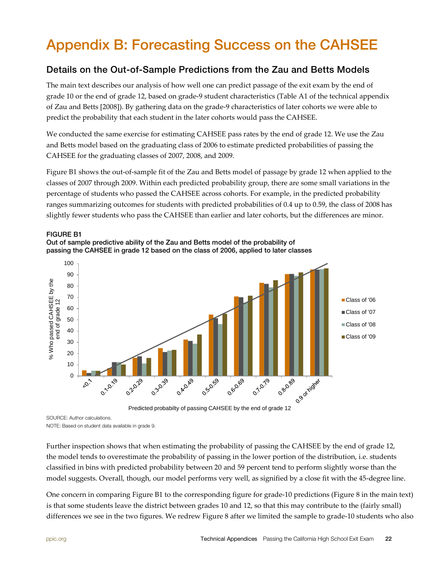# <span id="page-21-0"></span>Appendix B: Forecasting Success on the CAHSEE

### Details on the Out-of-Sample Predictions from the Zau and Betts Models

The main text describes our analysis of how well one can predict passage of the exit exam by the end of grade 10 or the end of grade 12, based on grade-9 student characteristics (Table A1 of the technical appendix of Zau and Betts [2008]). By gathering data on the grade-9 characteristics of later cohorts we were able to predict the probability that each student in the later cohorts would pass the CAHSEE.

We conducted the same exercise for estimating CAHSEE pass rates by the end of grade 12. We use the Zau and Betts model based on the graduating class of 2006 to estimate predicted probabilities of passing the CAHSEE for the graduating classes of 2007, 2008, and 2009.

Figure B1 shows the out-of-sample fit of the Zau and Betts model of passage by grade 12 when applied to the classes of 2007 through 2009. Within each predicted probability group, there are some small variations in the percentage of students who passed the CAHSEE across cohorts. For example, in the predicted probability ranges summarizing outcomes for students with predicted probabilities of 0.4 up to 0.59, the class of 2008 has slightly fewer students who pass the CAHSEE than earlier and later cohorts, but the differences are minor.







SOURCE: Author calculations.

NOTE: Based on student data available in grade 9.

Further inspection shows that when estimating the probability of passing the CAHSEE by the end of grade 12, the model tends to overestimate the probability of passing in the lower portion of the distribution, i.e. students classified in bins with predicted probability between 20 and 59 percent tend to perform slightly worse than the model suggests. Overall, though, our model performs very well, as signified by a close fit with the 45-degree line.

One concern in comparing Figure B1 to the corresponding figure for grade-10 predictions (Figure 8 in the main text) is that some students leave the district between grades 10 and 12, so that this may contribute to the (fairly small) differences we see in the two figures. We redrew Figure 8 after we limited the sample to grade-10 students who also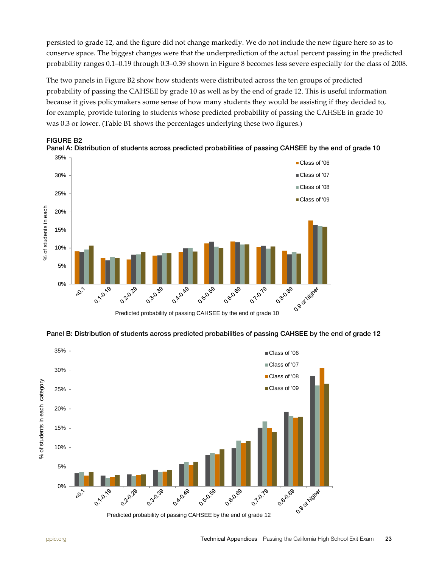persisted to grade 12, and the figure did not change markedly. We do not include the new figure here so as to conserve space. The biggest changes were that the underprediction of the actual percent passing in the predicted probability ranges 0.1–0.19 through 0.3–0.39 shown in Figure 8 becomes less severe especially for the class of 2008.

The two panels in Figure B2 show how students were distributed across the ten groups of predicted probability of passing the CAHSEE by grade 10 as well as by the end of grade 12. This is useful information because it gives policymakers some sense of how many students they would be assisting if they decided to, for example, provide tutoring to students whose predicted probability of passing the CAHSEE in grade 10 was 0.3 or lower. (Table B1 shows the percentages underlying these two figures.)





Panel B: Distribution of students across predicted probabilities of passing CAHSEE by the end of grade 12

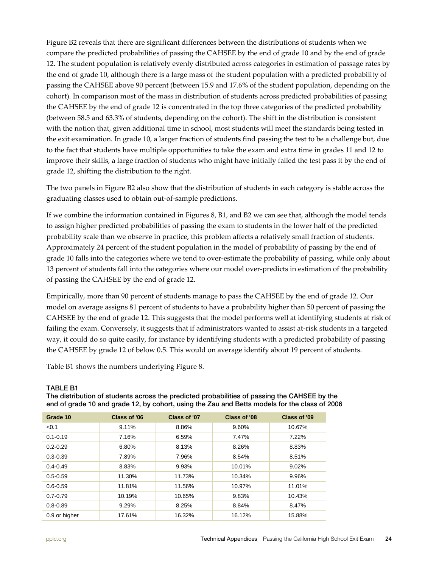Figure B2 reveals that there are significant differences between the distributions of students when we compare the predicted probabilities of passing the CAHSEE by the end of grade 10 and by the end of grade 12. The student population is relatively evenly distributed across categories in estimation of passage rates by the end of grade 10, although there is a large mass of the student population with a predicted probability of passing the CAHSEE above 90 percent (between 15.9 and 17.6% of the student population, depending on the cohort). In comparison most of the mass in distribution of students across predicted probabilities of passing the CAHSEE by the end of grade 12 is concentrated in the top three categories of the predicted probability (between 58.5 and 63.3% of students, depending on the cohort). The shift in the distribution is consistent with the notion that, given additional time in school, most students will meet the standards being tested in the exit examination. In grade 10, a larger fraction of students find passing the test to be a challenge but, due to the fact that students have multiple opportunities to take the exam and extra time in grades 11 and 12 to improve their skills, a large fraction of students who might have initially failed the test pass it by the end of grade 12, shifting the distribution to the right.

The two panels in Figure B2 also show that the distribution of students in each category is stable across the graduating classes used to obtain out-of-sample predictions.

If we combine the information contained in Figures 8, B1, and B2 we can see that, although the model tends to assign higher predicted probabilities of passing the exam to students in the lower half of the predicted probability scale than we observe in practice, this problem affects a relatively small fraction of students. Approximately 24 percent of the student population in the model of probability of passing by the end of grade 10 falls into the categories where we tend to over-estimate the probability of passing, while only about 13 percent of students fall into the categories where our model over-predicts in estimation of the probability of passing the CAHSEE by the end of grade 12.

Empirically, more than 90 percent of students manage to pass the CAHSEE by the end of grade 12. Our model on average assigns 81 percent of students to have a probability higher than 50 percent of passing the CAHSEE by the end of grade 12. This suggests that the model performs well at identifying students at risk of failing the exam. Conversely, it suggests that if administrators wanted to assist at-risk students in a targeted way, it could do so quite easily, for instance by identifying students with a predicted probability of passing the CAHSEE by grade 12 of below 0.5. This would on average identify about 19 percent of students.

Table B1 shows the numbers underlying Figure 8.

#### TABLE B1

The distribution of students across the predicted probabilities of passing the CAHSEE by the end of grade 10 and grade 12, by cohort, using the Zau and Betts models for the class of 2006

| Grade 10      | Class of '06 | Class of '07 | Class of '08 | Class of '09 |
|---------------|--------------|--------------|--------------|--------------|
| < 0.1         | 9.11%        | 8.86%        | 9.60%        | 10.67%       |
| $0.1 - 0.19$  | 7.16%        | 6.59%        | 7.47%        | 7.22%        |
| $0.2 - 0.29$  | 6.80%        | 8.13%        | 8.26%        | 8.83%        |
| $0.3 - 0.39$  | 7.89%        | 7.96%        | 8.54%        | 8.51%        |
| $0.4 - 0.49$  | 8.83%        | 9.93%        | 10.01%       | 9.02%        |
| $0.5 - 0.59$  | 11.30%       | 11.73%       | 10.34%       | 9.96%        |
| $0.6 - 0.59$  | 11.81%       | 11.56%       | 10.97%       | 11.01%       |
| $0.7 - 0.79$  | 10.19%       | 10.65%       | 9.83%        | 10.43%       |
| $0.8 - 0.89$  | 9.29%        | 8.25%        | 8.84%        | 8.47%        |
| 0.9 or higher | 17.61%       | 16.32%       | 16.12%       | 15.88%       |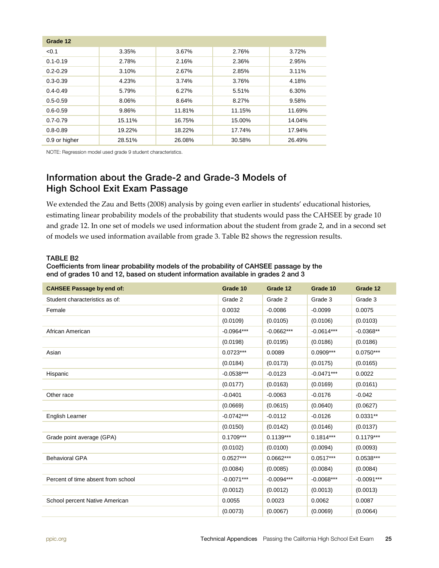| Grade 12      |        |        |        |        |
|---------------|--------|--------|--------|--------|
| < 0.1         | 3.35%  | 3.67%  | 2.76%  | 3.72%  |
| $0.1 - 0.19$  | 2.78%  | 2.16%  | 2.36%  | 2.95%  |
| $0.2 - 0.29$  | 3.10%  | 2.67%  | 2.85%  | 3.11%  |
| $0.3 - 0.39$  | 4.23%  | 3.74%  | 3.76%  | 4.18%  |
| $0.4 - 0.49$  | 5.79%  | 6.27%  | 5.51%  | 6.30%  |
| $0.5 - 0.59$  | 8.06%  | 8.64%  | 8.27%  | 9.58%  |
| $0.6 - 0.59$  | 9.86%  | 11.81% | 11.15% | 11.69% |
| $0.7 - 0.79$  | 15.11% | 16.75% | 15.00% | 14.04% |
| $0.8 - 0.89$  | 19.22% | 18.22% | 17.74% | 17.94% |
| 0.9 or higher | 28.51% | 26.08% | 30.58% | 26.49% |

NOTE: Regression model used grade 9 student characteristics.

### Information about the Grade-2 and Grade-3 Models of High School Exit Exam Passage

We extended the Zau and Betts (2008) analysis by going even earlier in students' educational histories, estimating linear probability models of the probability that students would pass the CAHSEE by grade 10 and grade 12. In one set of models we used information about the student from grade 2, and in a second set of models we used information available from grade 3. Table B2 shows the regression results.

#### TABLE B2

Coefficients from linear probability models of the probability of CAHSEE passage by the end of grades 10 and 12, based on student information available in grades 2 and 3

| <b>CAHSEE Passage by end of:</b>   | Grade 10     | Grade 12     | Grade 10     | Grade 12     |
|------------------------------------|--------------|--------------|--------------|--------------|
| Student characteristics as of:     | Grade 2      | Grade 2      | Grade 3      | Grade 3      |
| Female                             | 0.0032       | $-0.0086$    | $-0.0099$    | 0.0075       |
|                                    | (0.0109)     | (0.0105)     | (0.0106)     | (0.0103)     |
| African American                   | $-0.0964***$ | $-0.0662***$ | $-0.0614***$ | $-0.0368**$  |
|                                    | (0.0198)     | (0.0195)     | (0.0186)     | (0.0186)     |
| Asian                              | $0.0723***$  | 0.0089       | $0.0909***$  | $0.0750***$  |
|                                    | (0.0184)     | (0.0173)     | (0.0175)     | (0.0165)     |
| Hispanic                           | $-0.0538***$ | $-0.0123$    | $-0.0471***$ | 0.0022       |
|                                    | (0.0177)     | (0.0163)     | (0.0169)     | (0.0161)     |
| Other race                         | $-0.0401$    | $-0.0063$    | $-0.0176$    | $-0.042$     |
|                                    | (0.0669)     | (0.0615)     | (0.0640)     | (0.0627)     |
| English Learner                    | $-0.0742***$ | $-0.0112$    | $-0.0126$    | $0.0331**$   |
|                                    | (0.0150)     | (0.0142)     | (0.0146)     | (0.0137)     |
| Grade point average (GPA)          | $0.1709***$  | $0.1139***$  | $0.1814***$  | $0.1179***$  |
|                                    | (0.0102)     | (0.0100)     | (0.0094)     | (0.0093)     |
| <b>Behavioral GPA</b>              | $0.0527***$  | $0.0662***$  | $0.0517***$  | $0.0538***$  |
|                                    | (0.0084)     | (0.0085)     | (0.0084)     | (0.0084)     |
| Percent of time absent from school | $-0.0071***$ | $-0.0094***$ | $-0.0068***$ | $-0.0091***$ |
|                                    | (0.0012)     | (0.0012)     | (0.0013)     | (0.0013)     |
| School percent Native American     | 0.0055       | 0.0023       | 0.0062       | 0.0087       |
|                                    | (0.0073)     | (0.0067)     | (0.0069)     | (0.0064)     |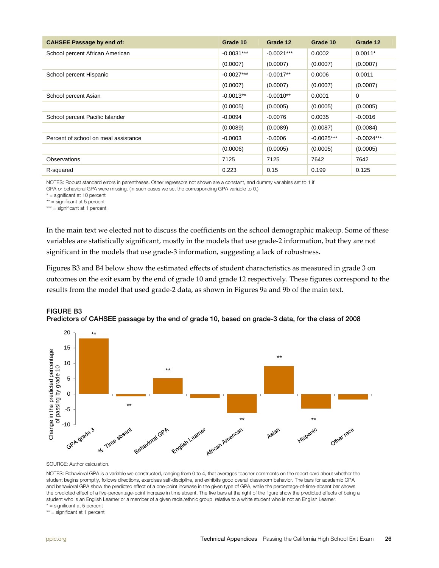| <b>CAHSEE Passage by end of:</b>     | Grade 10     | Grade 12     | Grade 10     | Grade 12     |
|--------------------------------------|--------------|--------------|--------------|--------------|
| School percent African American      | $-0.0031***$ | $-0.0021***$ | 0.0002       | $0.0011*$    |
|                                      | (0.0007)     | (0.0007)     | (0.0007)     | (0.0007)     |
| School percent Hispanic              | $-0.0027***$ | $-0.0017**$  | 0.0006       | 0.0011       |
|                                      | (0.0007)     | (0.0007)     | (0.0007)     | (0.0007)     |
| School percent Asian                 | $-0.0013**$  | $-0.0010**$  | 0.0001       | $\mathbf 0$  |
|                                      | (0.0005)     | (0.0005)     | (0.0005)     | (0.0005)     |
| School percent Pacific Islander      | $-0.0094$    | $-0.0076$    | 0.0035       | $-0.0016$    |
|                                      | (0.0089)     | (0.0089)     | (0.0087)     | (0.0084)     |
| Percent of school on meal assistance | $-0.0003$    | $-0.0006$    | $-0.0025***$ | $-0.0024***$ |
|                                      | (0.0006)     | (0.0005)     | (0.0005)     | (0.0005)     |
| Observations                         | 7125         | 7125         | 7642         | 7642         |
| R-squared                            | 0.223        | 0.15         | 0.199        | 0.125        |

NOTES: Robust standard errors in parentheses. Other regressors not shown are a constant, and dummy variables set to 1 if

GPA or behavioral GPA were missing. (In such cases we set the corresponding GPA variable to 0.)

 $*$  = significant at 10 percent

\*\* = significant at 5 percent

\*\*\* = significant at 1 percent

In the main text we elected not to discuss the coefficients on the school demographic makeup. Some of these variables are statistically significant, mostly in the models that use grade‐2 information, but they are not significant in the models that use grade‐3 information, suggesting a lack of robustness.

Figures B3 and B4 below show the estimated effects of student characteristics as measured in grade 3 on outcomes on the exit exam by the end of grade 10 and grade 12 respectively. These figures correspond to the results from the model that used grade‐2 data, as shown in Figures 9a and 9b of the main text.





SOURCE: Author calculation.

NOTES: Behavioral GPA is a variable we constructed, ranging from 0 to 4, that averages teacher comments on the report card about whether the student begins promptly, follows directions, exercises self-discipline, and exhibits good overall classroom behavior. The bars for academic GPA and behavioral GPA show the predicted effect of a one-point increase in the given type of GPA, while the percentage-of-time-absent bar shows the predicted effect of a five-percentage-point increase in time absent. The five bars at the right of the figure show the predicted effects of being a student who is an English Learner or a member of a given racial/ethnic group, relative to a white student who is not an English Learner.

\* = significant at 5 percent

\*\* = significant at 1 percent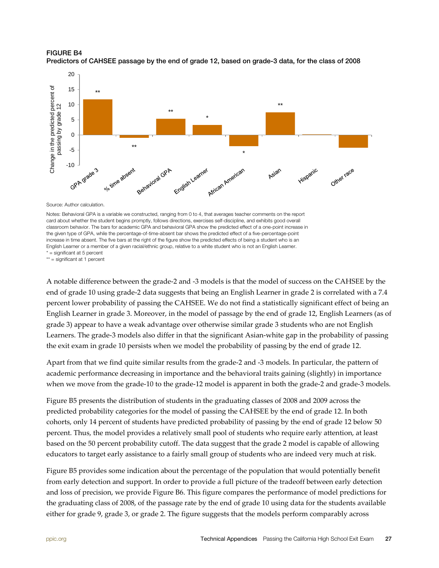



Source: Author calculation.

Notes: Behavioral GPA is a variable we constructed, ranging from 0 to 4, that averages teacher comments on the report card about whether the student begins promptly, follows directions, exercises self-discipline, and exhibits good overall classroom behavior. The bars for academic GPA and behavioral GPA show the predicted effect of a one-point increase in the given type of GPA, while the percentage-of-time-absent bar shows the predicted effect of a five-percentage-point increase in time absent. The five bars at the right of the figure show the predicted effects of being a student who is an English Learner or a member of a given racial/ethnic group, relative to a white student who is not an English Learner.

\* = significant at 5 percent

\*\* = significant at 1 percent

A notable difference between the grade-2 and -3 models is that the model of success on the CAHSEE by the end of grade 10 using grade-2 data suggests that being an English Learner in grade 2 is correlated with a 7.4 percent lower probability of passing the CAHSEE. We do not find a statistically significant effect of being an English Learner in grade 3. Moreover, in the model of passage by the end of grade 12, English Learners (as of grade 3) appear to have a weak advantage over otherwise similar grade 3 students who are not English Learners. The grade-3 models also differ in that the significant Asian-white gap in the probability of passing the exit exam in grade 10 persists when we model the probability of passing by the end of grade 12.

Apart from that we find quite similar results from the grade-2 and -3 models. In particular, the pattern of academic performance decreasing in importance and the behavioral traits gaining (slightly) in importance when we move from the grade-10 to the grade-12 model is apparent in both the grade-2 and grade-3 models.

Figure B5 presents the distribution of students in the graduating classes of 2008 and 2009 across the predicted probability categories for the model of passing the CAHSEE by the end of grade 12. In both cohorts, only 14 percent of students have predicted probability of passing by the end of grade 12 below 50 percent. Thus, the model provides a relatively small pool of students who require early attention, at least based on the 50 percent probability cutoff. The data suggest that the grade 2 model is capable of allowing educators to target early assistance to a fairly small group of students who are indeed very much at risk.

Figure B5 provides some indication about the percentage of the population that would potentially benefit from early detection and support. In order to provide a full picture of the tradeoff between early detection and loss of precision, we provide Figure B6. This figure compares the performance of model predictions for the graduating class of 2008, of the passage rate by the end of grade 10 using data for the students available either for grade 9, grade 3, or grade 2. The figure suggests that the models perform comparably across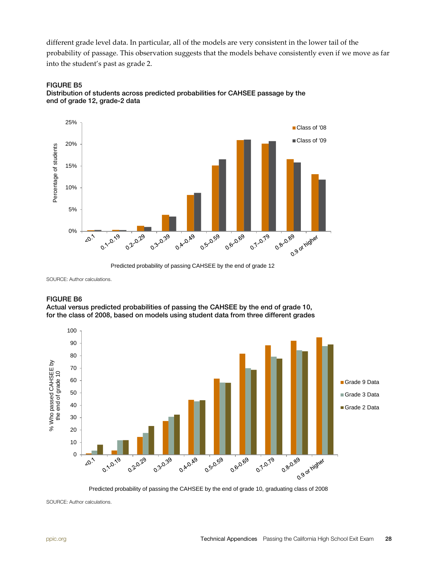different grade level data. In particular, all of the models are very consistent in the lower tail of the probability of passage. This observation suggests that the models behave consistently even if we move as far into the student's past as grade 2.





Predicted probability of passing CAHSEE by the end of grade 12

SOURCE: Author calculations.

#### FIGURE B6

Actual versus predicted probabilities of passing the CAHSEE by the end of grade 10, for the class of 2008, based on models using student data from three different grades



Predicted probability of passing the CAHSEE by the end of grade 10, graduating class of 2008

SOURCE: Author calculations.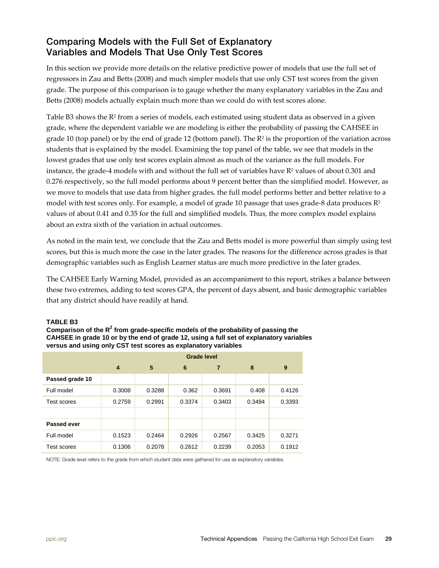### Comparing Models with the Full Set of Explanatory Variables and Models That Use Only Test Scores

In this section we provide more details on the relative predictive power of models that use the full set of regressors in Zau and Betts (2008) and much simpler models that use only CST test scores from the given grade. The purpose of this comparison is to gauge whether the many explanatory variables in the Zau and Betts (2008) models actually explain much more than we could do with test scores alone.

Table B3 shows the R<sup>2</sup> from a series of models, each estimated using student data as observed in a given grade, where the dependent variable we are modeling is either the probability of passing the CAHSEE in grade 10 (top panel) or by the end of grade 12 (bottom panel). The  $R<sup>2</sup>$  is the proportion of the variation across students that is explained by the model. Examining the top panel of the table, we see that models in the lowest grades that use only test scores explain almost as much of the variance as the full models. For instance, the grade-4 models with and without the full set of variables have R<sup>2</sup> values of about 0.301 and 0.276 respectively, so the full model performs about 9 percent better than the simplified model. However, as we move to models that use data from higher grades, the full model performs better and better relative to a model with test scores only. For example, a model of grade 10 passage that uses grade-8 data produces  $\mathbb{R}^2$ values of about 0.41 and 0.35 for the full and simplified models. Thus, the more complex model explains about an extra sixth of the variation in actual outcomes.

As noted in the main text, we conclude that the Zau and Betts model is more powerful than simply using test scores, but this is much more the case in the later grades. The reasons for the difference across grades is that demographic variables such as English Learner status are much more predictive in the later grades.

The CAHSEE Early Warning Model, provided as an accompaniment to this report, strikes a balance between these two extremes, adding to test scores GPA, the percent of days absent, and basic demographic variables that any district should have readily at hand.

#### **TABLE B3**

**Comparison of the R<sup>2</sup> from grade-specific models of the probability of passing the CAHSEE in grade 10 or by the end of grade 12, using a full set of explanatory variables versus and using only CST test scores as explanatory variables**

|                 | <b>Grade level</b> |        |        |        |        |        |
|-----------------|--------------------|--------|--------|--------|--------|--------|
|                 | $\overline{4}$     | 5      | 6      | 7      | 8      | 9      |
| Passed grade 10 |                    |        |        |        |        |        |
| Full model      | 0.3008             | 0.3288 | 0.362  | 0.3691 | 0.408  | 0.4126 |
| Test scores     | 0.2759             | 0.2991 | 0.3374 | 0.3403 | 0.3494 | 0.3393 |
|                 |                    |        |        |        |        |        |
| Passed ever     |                    |        |        |        |        |        |
| Full model      | 0.1523             | 0.2464 | 0.2926 | 0.2567 | 0.3425 | 0.3271 |
| Test scores     | 0.1306             | 0.2078 | 0.2612 | 0.2239 | 0.2053 | 0.1912 |

NOTE: Grade level refers to the grade from which student data were gathered for use as explanatory variables.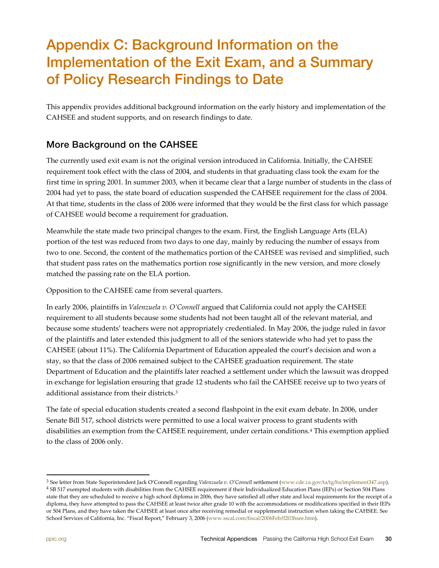# <span id="page-29-0"></span>Appendix C: Background Information on the Implementation of the Exit Exam, and a Summary of Policy Research Findings to Date

This appendix provides additional background information on the early history and implementation of the CAHSEE and student supports, and on research findings to date.

## More Background on the CAHSEE

The currently used exit exam is not the original version introduced in California. Initially, the CAHSEE requirement took effect with the class of 2004, and students in that graduating class took the exam for the first time in spring 2001. In summer 2003, when it became clear that a large number of students in the class of 2004 had yet to pass, the state board of education suspended the CAHSEE requirement for the class of 2004. At that time, students in the class of 2006 were informed that they would be the first class for which passage of CAHSEE would become a requirement for graduation.

Meanwhile the state made two principal changes to the exam. First, the English Language Arts (ELA) portion of the test was reduced from two days to one day, mainly by reducing the number of essays from two to one. Second, the content of the mathematics portion of the CAHSEE was revised and simplified, such that student pass rates on the mathematics portion rose significantly in the new version, and more closely matched the passing rate on the ELA portion.

Opposition to the CAHSEE came from several quarters.

In early 2006, plaintiffs in *Valenzuela v. O'Connell* argued that California could not apply the CAHSEE requirement to all students because some students had not been taught all of the relevant material, and because some students' teachers were not appropriately credentialed. In May 2006, the judge ruled in favor of the plaintiffs and later extended this judgment to all of the seniors statewide who had yet to pass the CAHSEE (about 11%). The California Department of Education appealed the court's decision and won a stay, so that the class of 2006 remained subject to the CAHSEE graduation requirement. The state Department of Education and the plaintiffs later reached a settlement under which the lawsuit was dropped in exchange for legislation ensuring that grade 12 students who fail the CAHSEE receive up to two years of additional assistance from their districts.[3](#page-29-1) 

The fate of special education students created a second flashpoint in the exit exam debate. In 2006, under Senate Bill 517, school districts were permitted to use a local waiver process to grant students with disabilities an exemption from the CAHSEE requirement, under certain conditions.[4](#page-29-2) This exemption applied to the class of 2006 only.

<span id="page-29-2"></span><span id="page-29-1"></span> $^3$  See letter from State Superintendent Jack O'Connell regarding Valenzuela v. O'Connell settlement [\(www.cde.ca.gov/ta/tg/hs/implement347.asp\)](http://www.cde.ca.gov/ta/tg/hs/implement347.asp).  $^4$  SB 517 exempted students with disabilities from the CAHSEE requirement state that they are scheduled to receive a high school diploma in 2006, they have satisfied all other state and local requirements for the receipt of a diploma, they have attempted to pass the CAHSEE at least twice after grade 10 with the accommodations or modifications specified in their IEPs or 504 Plans, and they have taken the CAHSEE at least once after receiving remedial or supplemental instruction when taking the CAHSEE. See School Services of California, Inc. "Fiscal Report," February 3, 2006 [\(www.sscal.com/fiscal/2006Feb/0203hsee.htm\)](http://www.sscal.com/fiscal/2006Feb/0203hsee.htm).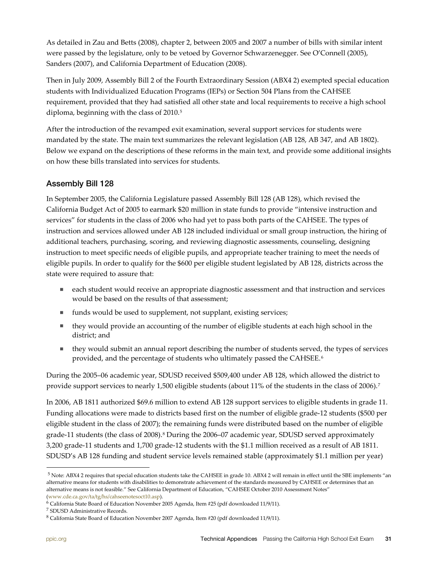As detailed in Zau and Betts (2008), chapter 2, between 2005 and 2007 a number of bills with similar intent were passed by the legislature, only to be vetoed by Governor Schwarzenegger. See O'Connell (2005), Sanders (2007), and California Department of Education (2008).

Then in July 2009, Assembly Bill 2 of the Fourth Extraordinary Session (ABX4 2) exempted special education students with Individualized Education Programs (IEPs) or Section 504 Plans from the CAHSEE requirement, provided that they had satisfied all other state and local requirements to receive a high school diploma, beginning with the class of 2010.<sup>[5](#page-30-0)</sup>

After the introduction of the revamped exit examination, several support services for students were mandated by the state. The main text summarizes the relevant legislation (AB 128, AB 347, and AB 1802). Below we expand on the descriptions of these reforms in the main text, and provide some additional insights on how these bills translated into services for students.

#### Assembly Bill 128

In September 2005, the California Legislature passed Assembly Bill 128 (AB 128), which revised the California Budget Act of 2005 to earmark \$20 million in state funds to provide "intensive instruction and services" for students in the class of 2006 who had yet to pass both parts of the CAHSEE. The types of instruction and services allowed under AB 128 included individual or small group instruction, the hiring of additional teachers, purchasing, scoring, and reviewing diagnostic assessments, counseling, designing instruction to meet specific needs of eligible pupils, and appropriate teacher training to meet the needs of eligible pupils. In order to qualify for the \$600 per eligible student legislated by AB 128, districts across the state were required to assure that:

- each student would receive an appropriate diagnostic assessment and that instruction and services would be based on the results of that assessment;
- funds would be used to supplement, not supplant, existing services;
- they would provide an accounting of the number of eligible students at each high school in the district; and
- they would submit an annual report describing the number of students served, the types of services provided, and the percentage of students who ultimately passed the CAHSEE.<sup>[6](#page-30-1)</sup>

During the 2005–06 academic year, SDUSD received \$509,400 under AB 128, which allowed the district to provide support services to nearly 1,500 eligible students (about 11% of the students in the class of 2006).<sup>[7](#page-30-2)</sup>

In 2006, AB 1811 authorized \$69.6 million to extend AB 128 support services to eligible students in grade 11. Funding allocations were made to districts based first on the number of eligible grade-12 students (\$500 per eligible student in the class of 2007); the remaining funds were distributed based on the number of eligible grade-11 students (the class of 2008).[8](#page-30-3) During the 2006–07 academic year, SDUSD served approximately 3,200 grade-11 students and 1,700 grade-12 students with the \$1.1 million received as a result of AB 1811. SDUSD's AB 128 funding and student service levels remained stable (approximately \$1.1 million per year)

<span id="page-30-0"></span><sup>5</sup> Note: ABX4 2 requires that special education students take the CAHSEE in grade 10. ABX4 2 will remain in effect until the SBE implements "an alternative means for students with disabilities to demonstrate achievement of the standards measured by CAHSEE or determines that an alternative means is not feasible." See California Department of Education, "CAHSEE October 2010 Assessment Notes"

[<sup>\(</sup>www.cde.ca.gov/ta/tg/hs/cahseenotesoct10.asp\)](http://www.cde.ca.gov/ta/tg/hs/cahseenotesoct10.asp).<br><sup>6</sup> California State Board of Education November 2005 Agenda, Item #25 (pdf downloaded 11/9/11).

<span id="page-30-3"></span><span id="page-30-2"></span><span id="page-30-1"></span><sup>7</sup> SDUSD Administrative Records.

<sup>8</sup> California State Board of Education November 2007 Agenda, Item #20 (pdf downloaded 11/9/11).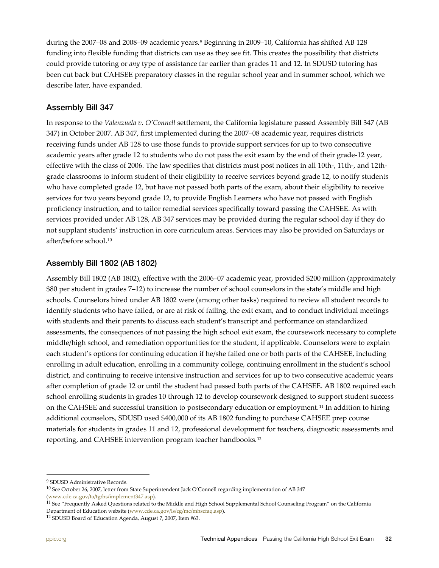during the 2007–08 and 2008–09 academic years.[9](#page-31-0) Beginning in 2009–10, California has shifted AB 128 funding into flexible funding that districts can use as they see fit. This creates the possibility that districts could provide tutoring or *any* type of assistance far earlier than grades 11 and 12. In SDUSD tutoring has been cut back but CAHSEE preparatory classes in the regular school year and in summer school, which we describe later, have expanded.

#### Assembly Bill 347

In response to the *Valenzuela v. O'Connell* settlement, the California legislature passed Assembly Bill 347 (AB 347) in October 2007. AB 347, first implemented during the 2007–08 academic year, requires districts receiving funds under AB 128 to use those funds to provide support services for up to two consecutive academic years after grade 12 to students who do not pass the exit exam by the end of their grade-12 year, effective with the class of 2006. The law specifies that districts must post notices in all 10th-, 11th-, and 12thgrade classrooms to inform student of their eligibility to receive services beyond grade 12, to notify students who have completed grade 12, but have not passed both parts of the exam, about their eligibility to receive services for two years beyond grade 12, to provide English Learners who have not passed with English proficiency instruction, and to tailor remedial services specifically toward passing the CAHSEE. As with services provided under AB 128, AB 347 services may be provided during the regular school day if they do not supplant students' instruction in core curriculum areas. Services may also be provided on Saturdays or after/before school.[10](#page-31-1)

#### Assembly Bill 1802 (AB 1802)

Assembly Bill 1802 (AB 1802), effective with the 2006–07 academic year, provided \$200 million (approximately \$80 per student in grades 7–12) to increase the number of school counselors in the state's middle and high schools. Counselors hired under AB 1802 were (among other tasks) required to review all student records to identify students who have failed, or are at risk of failing, the exit exam, and to conduct individual meetings with students and their parents to discuss each student's transcript and performance on standardized assessments, the consequences of not passing the high school exit exam, the coursework necessary to complete middle/high school, and remediation opportunities for the student, if applicable. Counselors were to explain each student's options for continuing education if he/she failed one or both parts of the CAHSEE, including enrolling in adult education, enrolling in a community college, continuing enrollment in the student's school district, and continuing to receive intensive instruction and services for up to two consecutive academic years after completion of grade 12 or until the student had passed both parts of the CAHSEE. AB 1802 required each school enrolling students in grades 10 through 12 to develop coursework designed to support student success on the CAHSEE and successful transition to postsecondary education or employment.[11](#page-31-2) In addition to hiring additional counselors, SDUSD used \$400,000 of its AB 1802 funding to purchase CAHSEE prep course materials for students in grades 11 and 12, professional development for teachers, diagnostic assessments and reporting, and CAHSEE intervention program teacher handbooks.[12](#page-31-3) 

<span id="page-31-0"></span><sup>9</sup> SDUSD Administrative Records.

<span id="page-31-1"></span> $^{10}$  See October 26, 2007, letter from State Superintendent Jack O'Connell regarding implementation of AB 347

<span id="page-31-2"></span>

[<sup>\(</sup>www.cde.ca.gov/ta/tg/hs/implement347.asp\).](http://www.cde.ca.gov/ta/tg/hs/implement347.asp)<br><sup>11</sup> See "Frequently Asked Questions related to the Middle and High School Supplemental School Counseling Program" on the California Department of Education website [\(www.cde.ca.gov/ls/cg/mc/mhscfaq.asp\)](http://www.cde.ca.gov/ls/cg/mc/mhscfaq.asp).

<span id="page-31-3"></span><sup>12</sup> SDUSD Board of Education Agenda, August 7, 2007, Item #63.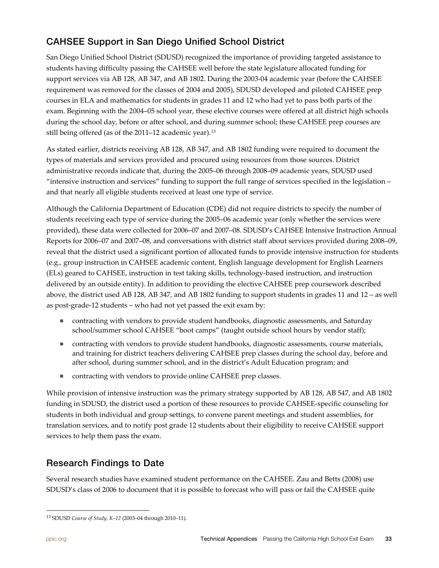## CAHSEE Support in San Diego Unified School District

San Diego Unified School District (SDUSD) recognized the importance of providing targeted assistance to students having difficulty passing the CAHSEE well before the state legislature allocated funding for support services via AB 128, AB 347, and AB 1802. During the 2003-04 academic year (before the CAHSEE requirement was removed for the classes of 2004 and 2005), SDUSD developed and piloted CAHSEE prep courses in ELA and mathematics for students in grades 11 and 12 who had yet to pass both parts of the exam. Beginning with the 2004–05 school year, these elective courses were offered at all district high schools during the school day, before or after school, and during summer school; these CAHSEE prep courses are still being offered (as of the 2011–12 academic year).<sup>13</sup>

As stated earlier, districts receiving AB 128, AB 347, and AB 1802 funding were required to document the types of materials and services provided and procured using resources from those sources. District administrative records indicate that, during the 2005–06 through 2008–09 academic years, SDUSD used "intensive instruction and services" funding to support the full range of services specified in the legislation – and that nearly all eligible students received at least one type of service.

Although the California Department of Education (CDE) did not require districts to specify the number of students receiving each type of service during the 2005–06 academic year (only whether the services were provided), these data were collected for 2006–07 and 2007–08. SDUSD's CAHSEE Intensive Instruction Annual Reports for 2006–07 and 2007–08, and conversations with district staff about services provided during 2008–09, reveal that the district used a significant portion of allocated funds to provide intensive instruction for students (e.g., group instruction in CAHSEE academic content, English language development for English Learners (ELs) geared to CAHSEE, instruction in test taking skills, technology-based instruction, and instruction delivered by an outside entity). In addition to providing the elective CAHSEE prep coursework described above, the district used AB 128, AB 347, and AB 1802 funding to support students in grades 11 and 12 – as well as post-grade-12 students – who had not yet passed the exit exam by:

- contracting with vendors to provide student handbooks, diagnostic assessments, and Saturday school/summer school CAHSEE "boot camps" (taught outside school hours by vendor staff);
- contracting with vendors to provide student handbooks, diagnostic assessments, course materials, and training for district teachers delivering CAHSEE prep classes during the school day, before and after school, during summer school, and in the district's Adult Education program; and
- contracting with vendors to provide online CAHSEE prep classes.

While provision of intensive instruction was the primary strategy supported by AB 128, AB 547, and AB 1802 funding in SDUSD, the district used a portion of these resources to provide CAHSEE-specific counseling for students in both individual and group settings, to convene parent meetings and student assemblies, for translation services, and to notify post grade 12 students about their eligibility to receive CAHSEE support services to help them pass the exam.

## Research Findings to Date

Several research studies have examined student performance on the CAHSEE. Zau and Betts (2008) use SDUSD's class of 2006 to document that it is possible to forecast who will pass or fail the CAHSEE quite

<span id="page-32-0"></span><sup>13</sup> SDUSD *Course of Study, K*–*12* (2003–04 through 2010–11).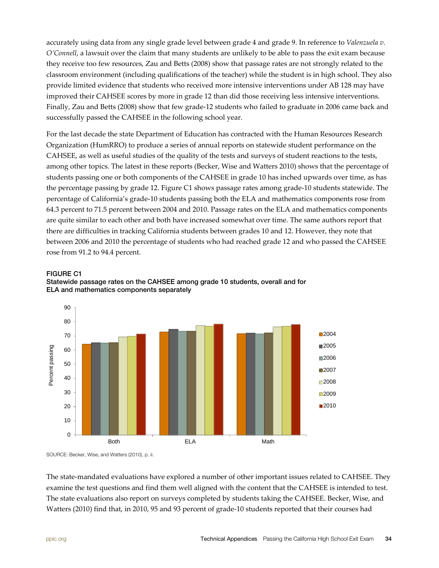accurately using data from any single grade level between grade 4 and grade 9. In reference to *Valenzuela v. O'Connell*, a lawsuit over the claim that many students are unlikely to be able to pass the exit exam because they receive too few resources, Zau and Betts (2008) show that passage rates are not strongly related to the classroom environment (including qualifications of the teacher) while the student is in high school. They also provide limited evidence that students who received more intensive interventions under AB 128 may have improved their CAHSEE scores by more in grade 12 than did those receiving less intensive interventions. Finally, Zau and Betts (2008) show that few grade-12 students who failed to graduate in 2006 came back and successfully passed the CAHSEE in the following school year.

For the last decade the state Department of Education has contracted with the Human Resources Research Organization (HumRRO) to produce a series of annual reports on statewide student performance on the CAHSEE, as well as useful studies of the quality of the tests and surveys of student reactions to the tests, among other topics. The latest in these reports (Becker, Wise and Watters 2010) shows that the percentage of students passing one or both components of the CAHSEE in grade 10 has inched upwards over time, as has the percentage passing by grade 12. Figure C1 shows passage rates among grade-10 students statewide. The percentage of California's grade-10 students passing both the ELA and mathematics components rose from 64.3 percent to 71.5 percent between 2004 and 2010. Passage rates on the ELA and mathematics components are quite similar to each other and both have increased somewhat over time. The same authors report that there are difficulties in tracking California students between grades 10 and 12. However, they note that between 2006 and 2010 the percentage of students who had reached grade 12 and who passed the CAHSEE rose from 91.2 to 94.4 percent.



#### FIGURE C1

Statewide passage rates on the CAHSEE among grade 10 students, overall and for ELA and mathematics components separately

SOURCE: Becker, Wise, and Watters (2010), p. ii.

The state-mandated evaluations have explored a number of other important issues related to CAHSEE. They examine the test questions and find them well aligned with the content that the CAHSEE is intended to test. The state evaluations also report on surveys completed by students taking the CAHSEE. Becker, Wise, and Watters (2010) find that, in 2010, 95 and 93 percent of grade-10 students reported that their courses had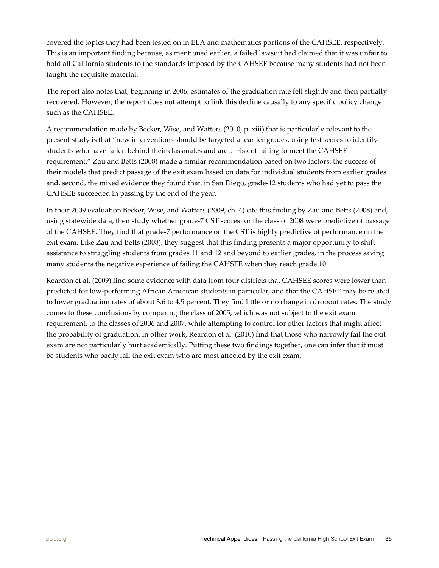covered the topics they had been tested on in ELA and mathematics portions of the CAHSEE, respectively. This is an important finding because, as mentioned earlier, a failed lawsuit had claimed that it was unfair to hold all California students to the standards imposed by the CAHSEE because many students had not been taught the requisite material.

The report also notes that, beginning in 2006, estimates of the graduation rate fell slightly and then partially recovered. However, the report does not attempt to link this decline causally to any specific policy change such as the CAHSEE.

A recommendation made by Becker, Wise, and Watters (2010, p. xiii) that is particularly relevant to the present study is that "new interventions should be targeted at earlier grades, using test scores to identify students who have fallen behind their classmates and are at risk of failing to meet the CAHSEE requirement." Zau and Betts (2008) made a similar recommendation based on two factors: the success of their models that predict passage of the exit exam based on data for individual students from earlier grades and, second, the mixed evidence they found that, in San Diego, grade-12 students who had yet to pass the CAHSEE succeeded in passing by the end of the year.

In their 2009 evaluation Becker, Wise, and Watters (2009, ch. 4) cite this finding by Zau and Betts (2008) and, using statewide data, then study whether grade-7 CST scores for the class of 2008 were predictive of passage of the CAHSEE. They find that grade-7 performance on the CST is highly predictive of performance on the exit exam. Like Zau and Betts (2008), they suggest that this finding presents a major opportunity to shift assistance to struggling students from grades 11 and 12 and beyond to earlier grades, in the process saving many students the negative experience of failing the CAHSEE when they reach grade 10.

Reardon et al. (2009) find some evidence with data from four districts that CAHSEE scores were lower than predicted for low-performing African American students in particular, and that the CAHSEE may be related to lower graduation rates of about 3.6 to 4.5 percent. They find little or no change in dropout rates. The study comes to these conclusions by comparing the class of 2005, which was not subject to the exit exam requirement, to the classes of 2006 and 2007, while attempting to control for other factors that might affect the probability of graduation. In other work, Reardon et al. (2010) find that those who narrowly fail the exit exam are not particularly hurt academically. Putting these two findings together, one can infer that it must be students who badly fail the exit exam who are most affected by the exit exam.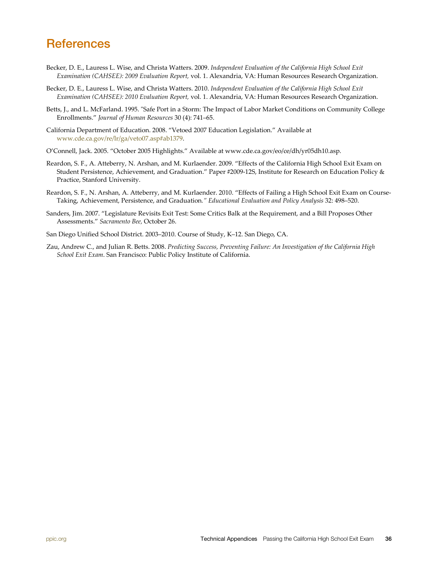## <span id="page-35-0"></span>**References**

- Becker, D. E., Lauress L. Wise, and Christa Watters. 2009. *Independent Evaluation of the California High School Exit Examination (CAHSEE): 2009 Evaluation Report,* vol. 1. Alexandria, VA: Human Resources Research Organization.
- Becker, D. E., Lauress L. Wise, and Christa Watters. 2010. *Independent Evaluation of the California High School Exit Examination (CAHSEE): 2010 Evaluation Report,* vol. 1. Alexandria, VA: Human Resources Research Organization.
- Betts, J., and L. McFarland. 1995. "Safe Port in a Storm: The Impact of Labor Market Conditions on Community College Enrollments." *Journal of Human Resources* 30 (4): 741–65.
- California Department of Education. 2008. "Vetoed 2007 Education Legislation." Available at [www.cde.ca.gov/re/lr/ga/veto07.asp#ab1379.](http://www.cde.ca.gov/re/lr/ga/veto07.asp#ab1379)
- O'Connell, Jack. 2005. "October 2005 Highlights." Available at [www.cde.ca.gov/eo/ce/dh/yr05dh10.asp.](http://www.cde.ca.gov/eo/ce/dh/yr05dh10.asp)
- Reardon, S. F., A. Atteberry, N. Arshan, and M. Kurlaender. 2009. "Effects of the California High School Exit Exam on Student Persistence, Achievement, and Graduation." Paper #2009-12S, Institute for Research on Education Policy & Practice, Stanford University.
- Reardon, S. F., N. Arshan, A. Atteberry, and M. Kurlaender. 2010. "Effects of Failing a High School Exit Exam on Course-Taking, Achievement, Persistence, and Graduation*." Educational Evaluation and Policy Analysis* 32: 498–520.
- Sanders, Jim. 2007. "Legislature Revisits Exit Test: Some Critics Balk at the Requirement, and a Bill Proposes Other Assessments." *Sacramento Bee,* October 26.
- San Diego Unified School District. 2003–2010. Course of Study, K–12. San Diego, CA.
- Zau, Andrew C., and Julian R. Betts. 2008. *Predicting Success, Preventing Failure: An Investigation of the California High School Exit Exam*. San Francisco: Public Policy Institute of California.